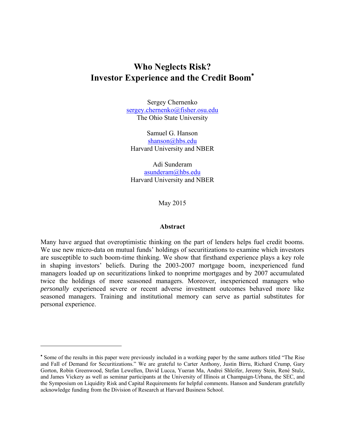# **Who Neglects Risk? Investor Experience and the Credit Boom**

Sergey Chernenko sergey.chernenko@fisher.osu.edu The Ohio State University

Samuel G. Hanson shanson@hbs.edu Harvard University and NBER

Adi Sunderam asunderam@hbs.edu Harvard University and NBER

May 2015

## **Abstract**

Many have argued that overoptimistic thinking on the part of lenders helps fuel credit booms. We use new micro-data on mutual funds' holdings of securitizations to examine which investors are susceptible to such boom-time thinking. We show that firsthand experience plays a key role in shaping investors' beliefs. During the 2003-2007 mortgage boom, inexperienced fund managers loaded up on securitizations linked to nonprime mortgages and by 2007 accumulated twice the holdings of more seasoned managers. Moreover, inexperienced managers who *personally* experienced severe or recent adverse investment outcomes behaved more like seasoned managers. Training and institutional memory can serve as partial substitutes for personal experience.

 Some of the results in this paper were previously included in a working paper by the same authors titled "The Rise and Fall of Demand for Securitizations." We are grateful to Carter Anthony, Justin Birru, Richard Crump, Gary Gorton, Robin Greenwood, Stefan Lewellen, David Lucca, Yueran Ma, Andrei Shleifer, Jeremy Stein, René Stulz, and James Vickery as well as seminar participants at the University of Illinois at Champaign-Urbana, the SEC, and the Symposium on Liquidity Risk and Capital Requirements for helpful comments. Hanson and Sunderam gratefully acknowledge funding from the Division of Research at Harvard Business School.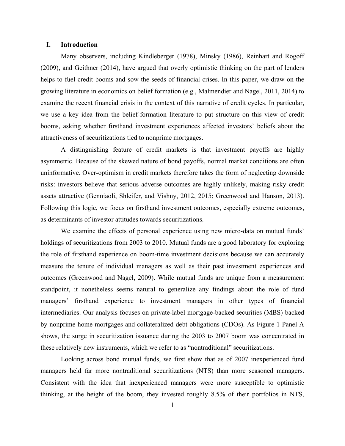## **I. Introduction**

Many observers, including Kindleberger (1978), Minsky (1986), Reinhart and Rogoff (2009), and Geithner (2014), have argued that overly optimistic thinking on the part of lenders helps to fuel credit booms and sow the seeds of financial crises. In this paper, we draw on the growing literature in economics on belief formation (e.g., Malmendier and Nagel, 2011, 2014) to examine the recent financial crisis in the context of this narrative of credit cycles. In particular, we use a key idea from the belief-formation literature to put structure on this view of credit booms, asking whether firsthand investment experiences affected investors' beliefs about the attractiveness of securitizations tied to nonprime mortgages.

A distinguishing feature of credit markets is that investment payoffs are highly asymmetric. Because of the skewed nature of bond payoffs, normal market conditions are often uninformative. Over-optimism in credit markets therefore takes the form of neglecting downside risks: investors believe that serious adverse outcomes are highly unlikely, making risky credit assets attractive (Genniaoli, Shleifer, and Vishny, 2012, 2015; Greenwood and Hanson, 2013). Following this logic, we focus on firsthand investment outcomes, especially extreme outcomes, as determinants of investor attitudes towards securitizations.

We examine the effects of personal experience using new micro-data on mutual funds' holdings of securitizations from 2003 to 2010. Mutual funds are a good laboratory for exploring the role of firsthand experience on boom-time investment decisions because we can accurately measure the tenure of individual managers as well as their past investment experiences and outcomes (Greenwood and Nagel, 2009). While mutual funds are unique from a measurement standpoint, it nonetheless seems natural to generalize any findings about the role of fund managers' firsthand experience to investment managers in other types of financial intermediaries. Our analysis focuses on private-label mortgage-backed securities (MBS) backed by nonprime home mortgages and collateralized debt obligations (CDOs). As Figure 1 Panel A shows, the surge in securitization issuance during the 2003 to 2007 boom was concentrated in these relatively new instruments, which we refer to as "nontraditional" securitizations.

Looking across bond mutual funds, we first show that as of 2007 inexperienced fund managers held far more nontraditional securitizations (NTS) than more seasoned managers. Consistent with the idea that inexperienced managers were more susceptible to optimistic thinking, at the height of the boom, they invested roughly 8.5% of their portfolios in NTS,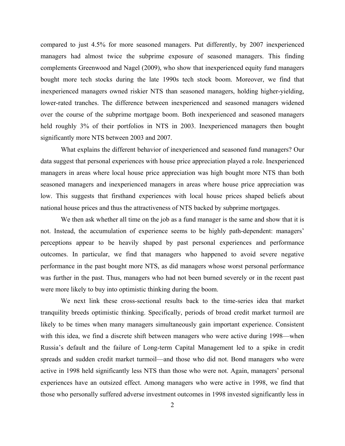compared to just 4.5% for more seasoned managers. Put differently, by 2007 inexperienced managers had almost twice the subprime exposure of seasoned managers. This finding complements Greenwood and Nagel (2009), who show that inexperienced equity fund managers bought more tech stocks during the late 1990s tech stock boom. Moreover, we find that inexperienced managers owned riskier NTS than seasoned managers, holding higher-yielding, lower-rated tranches. The difference between inexperienced and seasoned managers widened over the course of the subprime mortgage boom. Both inexperienced and seasoned managers held roughly 3% of their portfolios in NTS in 2003. Inexperienced managers then bought significantly more NTS between 2003 and 2007.

What explains the different behavior of inexperienced and seasoned fund managers? Our data suggest that personal experiences with house price appreciation played a role. Inexperienced managers in areas where local house price appreciation was high bought more NTS than both seasoned managers and inexperienced managers in areas where house price appreciation was low. This suggests that firsthand experiences with local house prices shaped beliefs about national house prices and thus the attractiveness of NTS backed by subprime mortgages.

We then ask whether all time on the job as a fund manager is the same and show that it is not. Instead, the accumulation of experience seems to be highly path-dependent: managers' perceptions appear to be heavily shaped by past personal experiences and performance outcomes. In particular, we find that managers who happened to avoid severe negative performance in the past bought more NTS, as did managers whose worst personal performance was further in the past. Thus, managers who had not been burned severely or in the recent past were more likely to buy into optimistic thinking during the boom.

We next link these cross-sectional results back to the time-series idea that market tranquility breeds optimistic thinking. Specifically, periods of broad credit market turmoil are likely to be times when many managers simultaneously gain important experience. Consistent with this idea, we find a discrete shift between managers who were active during 1998—when Russia's default and the failure of Long-term Capital Management led to a spike in credit spreads and sudden credit market turmoil—and those who did not. Bond managers who were active in 1998 held significantly less NTS than those who were not. Again, managers' personal experiences have an outsized effect. Among managers who were active in 1998, we find that those who personally suffered adverse investment outcomes in 1998 invested significantly less in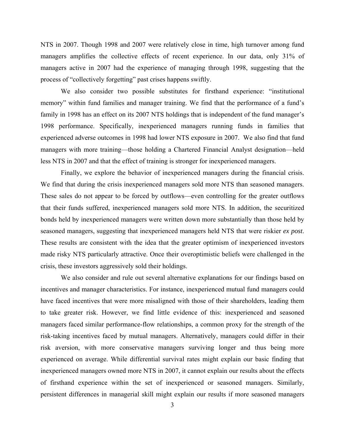NTS in 2007. Though 1998 and 2007 were relatively close in time, high turnover among fund managers amplifies the collective effects of recent experience. In our data, only 31% of managers active in 2007 had the experience of managing through 1998, suggesting that the process of "collectively forgetting" past crises happens swiftly.

We also consider two possible substitutes for firsthand experience: "institutional memory" within fund families and manager training. We find that the performance of a fund's family in 1998 has an effect on its 2007 NTS holdings that is independent of the fund manager's 1998 performance. Specifically, inexperienced managers running funds in families that experienced adverse outcomes in 1998 had lower NTS exposure in 2007. We also find that fund managers with more training—those holding a Chartered Financial Analyst designation—held less NTS in 2007 and that the effect of training is stronger for inexperienced managers.

Finally, we explore the behavior of inexperienced managers during the financial crisis. We find that during the crisis inexperienced managers sold more NTS than seasoned managers. These sales do not appear to be forced by outflows—even controlling for the greater outflows that their funds suffered, inexperienced managers sold more NTS. In addition, the securitized bonds held by inexperienced managers were written down more substantially than those held by seasoned managers, suggesting that inexperienced managers held NTS that were riskier *ex post*. These results are consistent with the idea that the greater optimism of inexperienced investors made risky NTS particularly attractive. Once their overoptimistic beliefs were challenged in the crisis, these investors aggressively sold their holdings.

We also consider and rule out several alternative explanations for our findings based on incentives and manager characteristics. For instance, inexperienced mutual fund managers could have faced incentives that were more misaligned with those of their shareholders, leading them to take greater risk. However, we find little evidence of this: inexperienced and seasoned managers faced similar performance-flow relationships, a common proxy for the strength of the risk-taking incentives faced by mutual managers. Alternatively, managers could differ in their risk aversion, with more conservative managers surviving longer and thus being more experienced on average. While differential survival rates might explain our basic finding that inexperienced managers owned more NTS in 2007, it cannot explain our results about the effects of firsthand experience within the set of inexperienced or seasoned managers. Similarly, persistent differences in managerial skill might explain our results if more seasoned managers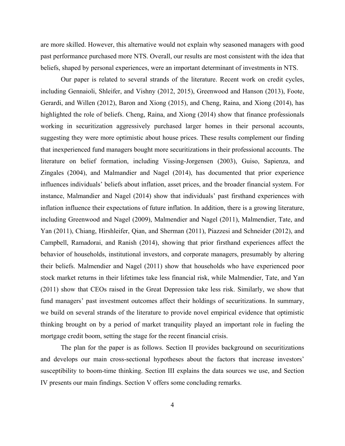are more skilled. However, this alternative would not explain why seasoned managers with good past performance purchased more NTS. Overall, our results are most consistent with the idea that beliefs, shaped by personal experiences, were an important determinant of investments in NTS.

Our paper is related to several strands of the literature. Recent work on credit cycles, including Gennaioli, Shleifer, and Vishny (2012, 2015), Greenwood and Hanson (2013), Foote, Gerardi, and Willen (2012), Baron and Xiong (2015), and Cheng, Raina, and Xiong (2014), has highlighted the role of beliefs. Cheng, Raina, and Xiong (2014) show that finance professionals working in securitization aggressively purchased larger homes in their personal accounts, suggesting they were more optimistic about house prices. These results complement our finding that inexperienced fund managers bought more securitizations in their professional accounts. The literature on belief formation, including Vissing-Jorgensen (2003), Guiso, Sapienza, and Zingales (2004), and Malmandier and Nagel (2014), has documented that prior experience influences individuals' beliefs about inflation, asset prices, and the broader financial system. For instance, Malmandier and Nagel (2014) show that individuals' past firsthand experiences with inflation influence their expectations of future inflation. In addition, there is a growing literature, including Greenwood and Nagel (2009), Malmendier and Nagel (2011), Malmendier, Tate, and Yan (2011), Chiang, Hirshleifer, Qian, and Sherman (2011), Piazzesi and Schneider (2012), and Campbell, Ramadorai, and Ranish (2014), showing that prior firsthand experiences affect the behavior of households, institutional investors, and corporate managers, presumably by altering their beliefs. Malmendier and Nagel (2011) show that households who have experienced poor stock market returns in their lifetimes take less financial risk, while Malmendier, Tate, and Yan (2011) show that CEOs raised in the Great Depression take less risk. Similarly, we show that fund managers' past investment outcomes affect their holdings of securitizations. In summary, we build on several strands of the literature to provide novel empirical evidence that optimistic thinking brought on by a period of market tranquility played an important role in fueling the mortgage credit boom, setting the stage for the recent financial crisis.

The plan for the paper is as follows. Section II provides background on securitizations and develops our main cross-sectional hypotheses about the factors that increase investors' susceptibility to boom-time thinking. Section III explains the data sources we use, and Section IV presents our main findings. Section V offers some concluding remarks.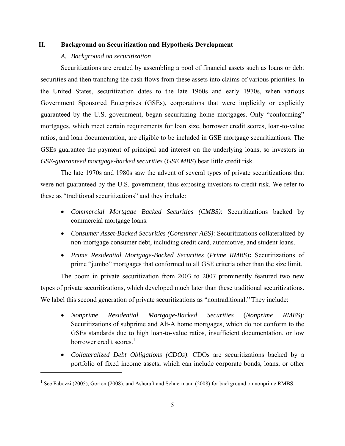## **II. Background on Securitization and Hypothesis Development**

## *A. Background on securitization*

 $\overline{a}$ 

Securitizations are created by assembling a pool of financial assets such as loans or debt securities and then tranching the cash flows from these assets into claims of various priorities. In the United States, securitization dates to the late 1960s and early 1970s, when various Government Sponsored Enterprises (GSEs), corporations that were implicitly or explicitly guaranteed by the U.S. government, began securitizing home mortgages. Only "conforming" mortgages, which meet certain requirements for loan size, borrower credit scores, loan-to-value ratios, and loan documentation, are eligible to be included in GSE mortgage securitizations. The GSEs guarantee the payment of principal and interest on the underlying loans, so investors in *GSE-guaranteed mortgage-backed securities* (*GSE MBS*) bear little credit risk.

The late 1970s and 1980s saw the advent of several types of private securitizations that were not guaranteed by the U.S. government, thus exposing investors to credit risk. We refer to these as "traditional securitizations" and they include:

- *Commercial Mortgage Backed Securities (CMBS)*: Securitizations backed by commercial mortgage loans.
- *Consumer Asset-Backed Securities (Consumer ABS)*: Securitizations collateralized by non-mortgage consumer debt, including credit card, automotive, and student loans.
- *Prime Residential Mortgage-Backed Securities* (*Prime RMBS*)**:** Securitizations of prime "jumbo" mortgages that conformed to all GSE criteria other than the size limit.

The boom in private securitization from 2003 to 2007 prominently featured two new types of private securitizations, which developed much later than these traditional securitizations. We label this second generation of private securitizations as "nontraditional." They include:

- *Nonprime Residential Mortgage-Backed Securities* (*Nonprime RMBS*): Securitizations of subprime and Alt-A home mortgages, which do not conform to the GSEs standards due to high loan-to-value ratios, insufficient documentation, or low borrower credit scores  $<sup>1</sup>$ </sup>
- *Collateralized Debt Obligations (CDOs)*: CDOs are securitizations backed by a portfolio of fixed income assets, which can include corporate bonds, loans, or other

<sup>&</sup>lt;sup>1</sup> See Fabozzi (2005), Gorton (2008), and Ashcraft and Schuermann (2008) for background on nonprime RMBS.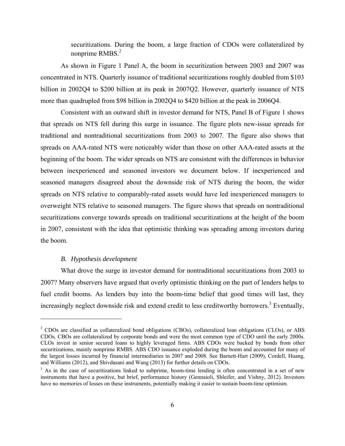securitizations. During the boom, a large fraction of CDOs were collateralized by nonprime  $RMBS<sup>2</sup>$ 

As shown in Figure 1 Panel A, the boom in securitization between 2003 and 2007 was concentrated in NTS. Quarterly issuance of traditional securitizations roughly doubled from \$103 billion in 2002Q4 to \$200 billion at its peak in 2007Q2. However, quarterly issuance of NTS more than quadrupled from \$98 billion in 2002Q4 to \$420 billion at the peak in 2006Q4.

Consistent with an outward shift in investor demand for NTS, Panel B of Figure 1 shows that spreads on NTS fell during this surge in issuance. The figure plots new-issue spreads for traditional and nontraditional securitizations from 2003 to 2007. The figure also shows that spreads on AAA-rated NTS were noticeably wider than those on other AAA-rated assets at the beginning of the boom. The wider spreads on NTS are consistent with the differences in behavior between inexperienced and seasoned investors we document below. If inexperienced and seasoned managers disagreed about the downside risk of NTS during the boom, the wider spreads on NTS relative to comparably-rated assets would have led inexperienced managers to overweight NTS relative to seasoned managers. The figure shows that spreads on nontraditional securitizations converge towards spreads on traditional securitizations at the height of the boom in 2007, consistent with the idea that optimistic thinking was spreading among investors during the boom.

# *B. Hypothesis development*

 $\overline{a}$ 

What drove the surge in investor demand for nontraditional securitizations from 2003 to 2007? Many observers have argued that overly optimistic thinking on the part of lenders helps to fuel credit booms. As lenders buy into the boom-time belief that good times will last, they increasingly neglect downside risk and extend credit to less creditworthy borrowers.<sup>3</sup> Eventually,

<sup>&</sup>lt;sup>2</sup> CDOs are classified as collateralized bond obligations (CBOs), collateralized loan obligations (CLOs), or ABS CDOs. CBOs are collateralized by corporate bonds and were the most common type of CDO until the early 2000s. CLOs invest in senior secured loans to highly leveraged firms. ABS CDOs were backed by bonds from other securitizations, mainly nonprime RMBS. ABS CDO issuance exploded during the boom and accounted for many of the largest losses incurred by financial intermediaries in 2007 and 2008. See Barnett-Hart (2009), Cordell, Huang, and Williams (2012), and Shivdasani and Wang (2013) for further details on CDOs.

<sup>&</sup>lt;sup>3</sup> As in the case of securitizations linked to subprime, boom-time lending is often concentrated in a set of new instruments that have a positive, but brief, performance history (Gennaioli, Shleifer, and Vishny, 2012). Investors have no memories of losses on these instruments, potentially making it easier to sustain boom-time optimism.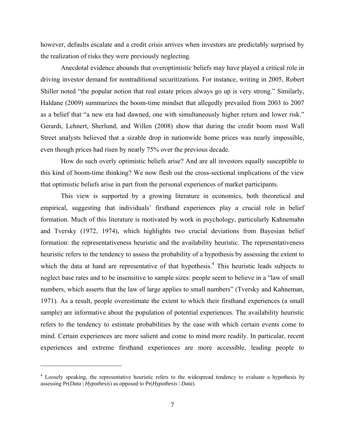however, defaults escalate and a credit crisis arrives when investors are predictably surprised by the realization of risks they were previously neglecting.

Anecdotal evidence abounds that overoptimistic beliefs may have played a critical role in driving investor demand for nontraditional securitizations. For instance, writing in 2005, Robert Shiller noted "the popular notion that real estate prices always go up is very strong." Similarly, Haldane (2009) summarizes the boom-time mindset that allegedly prevailed from 2003 to 2007 as a belief that "a new era had dawned, one with simultaneously higher return and lower risk." Gerardi, Lehnert, Sherlund, and Willen (2008) show that during the credit boom most Wall Street analysts believed that a sizable drop in nationwide home prices was nearly impossible, even though prices had risen by nearly 75% over the previous decade.

How do such overly optimistic beliefs arise? And are all investors equally susceptible to this kind of boom-time thinking? We now flesh out the cross-sectional implications of the view that optimistic beliefs arise in part from the personal experiences of market participants.

This view is supported by a growing literature in economics, both theoretical and empirical, suggesting that individuals' firsthand experiences play a crucial role in belief formation. Much of this literature is motivated by work in psychology, particularly Kahnemahn and Tversky (1972, 1974), which highlights two crucial deviations from Bayesian belief formation: the representativeness heuristic and the availability heuristic. The representativeness heuristic refers to the tendency to assess the probability of a hypothesis by assessing the extent to which the data at hand are representative of that hypothesis.<sup>4</sup> This heuristic leads subjects to neglect base rates and to be insensitive to sample sizes: people seem to believe in a "law of small numbers, which asserts that the law of large applies to small numbers" (Tversky and Kahneman, 1971). As a result, people overestimate the extent to which their firsthand experiences (a small sample) are informative about the population of potential experiences. The availability heuristic refers to the tendency to estimate probabilities by the ease with which certain events come to mind. Certain experiences are more salient and come to mind more readily. In particular, recent experiences and extreme firsthand experiences are more accessible, leading people to

<sup>&</sup>lt;sup>4</sup> Loosely speaking, the representative heuristic refers to the widespread tendency to evaluate a hypothesis by assessing Pr(*Data* | *Hypothesis*) as opposed to Pr(*Hypothesis* | *Data*).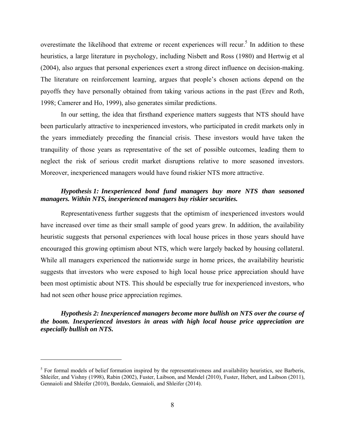overestimate the likelihood that extreme or recent experiences will recur.<sup>5</sup> In addition to these heuristics, a large literature in psychology, including Nisbett and Ross (1980) and Hertwig et al (2004), also argues that personal experiences exert a strong direct influence on decision-making. The literature on reinforcement learning, argues that people's chosen actions depend on the payoffs they have personally obtained from taking various actions in the past (Erev and Roth, 1998; Camerer and Ho, 1999), also generates similar predictions.

In our setting, the idea that firsthand experience matters suggests that NTS should have been particularly attractive to inexperienced investors, who participated in credit markets only in the years immediately preceding the financial crisis. These investors would have taken the tranquility of those years as representative of the set of possible outcomes, leading them to neglect the risk of serious credit market disruptions relative to more seasoned investors. Moreover, inexperienced managers would have found riskier NTS more attractive.

# *Hypothesis 1: Inexperienced bond fund managers buy more NTS than seasoned managers. Within NTS, inexperienced managers buy riskier securities.*

 Representativeness further suggests that the optimism of inexperienced investors would have increased over time as their small sample of good years grew. In addition, the availability heuristic suggests that personal experiences with local house prices in those years should have encouraged this growing optimism about NTS, which were largely backed by housing collateral. While all managers experienced the nationwide surge in home prices, the availability heuristic suggests that investors who were exposed to high local house price appreciation should have been most optimistic about NTS. This should be especially true for inexperienced investors, who had not seen other house price appreciation regimes.

*Hypothesis 2: Inexperienced managers become more bullish on NTS over the course of the boom. Inexperienced investors in areas with high local house price appreciation are especially bullish on NTS.* 

 $<sup>5</sup>$  For formal models of belief formation inspired by the representativeness and availability heuristics, see Barberis,</sup> Shleifer, and Vishny (1998), Rabin (2002), Fuster, Laibson, and Mendel (2010), Fuster, Hebert, and Laibson (2011), Gennaioli and Shleifer (2010), Bordalo, Gennaioli, and Shleifer (2014).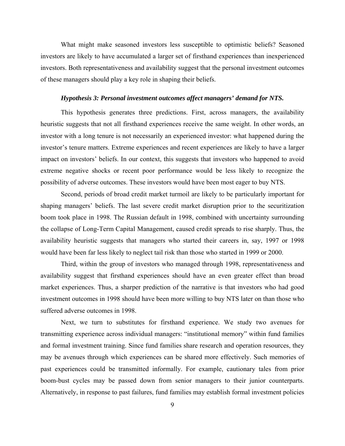What might make seasoned investors less susceptible to optimistic beliefs? Seasoned investors are likely to have accumulated a larger set of firsthand experiences than inexperienced investors. Both representativeness and availability suggest that the personal investment outcomes of these managers should play a key role in shaping their beliefs.

#### *Hypothesis 3: Personal investment outcomes affect managers' demand for NTS.*

This hypothesis generates three predictions. First, across managers, the availability heuristic suggests that not all firsthand experiences receive the same weight. In other words, an investor with a long tenure is not necessarily an experienced investor: what happened during the investor's tenure matters. Extreme experiences and recent experiences are likely to have a larger impact on investors' beliefs. In our context, this suggests that investors who happened to avoid extreme negative shocks or recent poor performance would be less likely to recognize the possibility of adverse outcomes. These investors would have been most eager to buy NTS.

Second, periods of broad credit market turmoil are likely to be particularly important for shaping managers' beliefs. The last severe credit market disruption prior to the securitization boom took place in 1998. The Russian default in 1998, combined with uncertainty surrounding the collapse of Long-Term Capital Management, caused credit spreads to rise sharply. Thus, the availability heuristic suggests that managers who started their careers in, say, 1997 or 1998 would have been far less likely to neglect tail risk than those who started in 1999 or 2000.

Third, within the group of investors who managed through 1998, representativeness and availability suggest that firsthand experiences should have an even greater effect than broad market experiences. Thus, a sharper prediction of the narrative is that investors who had good investment outcomes in 1998 should have been more willing to buy NTS later on than those who suffered adverse outcomes in 1998.

Next, we turn to substitutes for firsthand experience. We study two avenues for transmitting experience across individual managers: "institutional memory" within fund families and formal investment training. Since fund families share research and operation resources, they may be avenues through which experiences can be shared more effectively. Such memories of past experiences could be transmitted informally. For example, cautionary tales from prior boom-bust cycles may be passed down from senior managers to their junior counterparts. Alternatively, in response to past failures, fund families may establish formal investment policies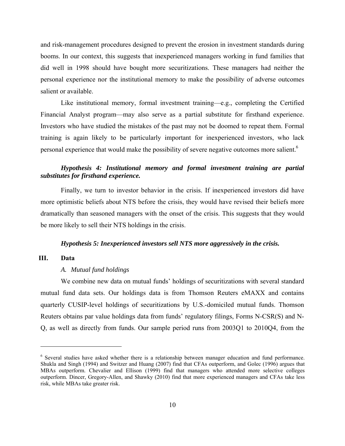and risk-management procedures designed to prevent the erosion in investment standards during booms. In our context, this suggests that inexperienced managers working in fund families that did well in 1998 should have bought more securitizations. These managers had neither the personal experience nor the institutional memory to make the possibility of adverse outcomes salient or available.

Like institutional memory, formal investment training—e.g., completing the Certified Financial Analyst program—may also serve as a partial substitute for firsthand experience. Investors who have studied the mistakes of the past may not be doomed to repeat them. Formal training is again likely to be particularly important for inexperienced investors, who lack personal experience that would make the possibility of severe negative outcomes more salient.<sup>6</sup>

# *Hypothesis 4: Institutional memory and formal investment training are partial substitutes for firsthand experience.*

 Finally, we turn to investor behavior in the crisis. If inexperienced investors did have more optimistic beliefs about NTS before the crisis, they would have revised their beliefs more dramatically than seasoned managers with the onset of the crisis. This suggests that they would be more likely to sell their NTS holdings in the crisis.

#### *Hypothesis 5: Inexperienced investors sell NTS more aggressively in the crisis.*

# **III. Data**

1

#### *A. Mutual fund holdings*

We combine new data on mutual funds' holdings of securitizations with several standard mutual fund data sets. Our holdings data is from Thomson Reuters eMAXX and contains quarterly CUSIP-level holdings of securitizations by U.S.-domiciled mutual funds. Thomson Reuters obtains par value holdings data from funds' regulatory filings, Forms N-CSR(S) and N-Q, as well as directly from funds. Our sample period runs from 2003Q1 to 2010Q4, from the

<sup>&</sup>lt;sup>6</sup> Several studies have asked whether there is a relationship between manager education and fund performance. Shukla and Singh (1994) and Switzer and Huang (2007) find that CFAs outperform, and Golec (1996) argues that MBAs outperform. Chevalier and Ellison (1999) find that managers who attended more selective colleges outperform. Dincer, Gregory-Allen, and Shawky (2010) find that more experienced managers and CFAs take less risk, while MBAs take greater risk.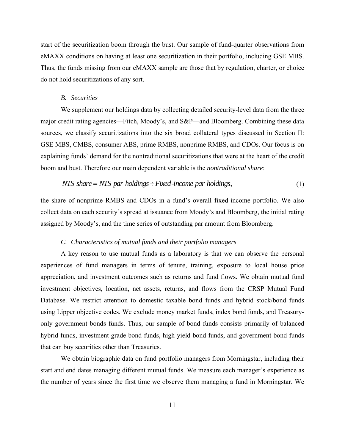start of the securitization boom through the bust. Our sample of fund-quarter observations from eMAXX conditions on having at least one securitization in their portfolio, including GSE MBS. Thus, the funds missing from our eMAXX sample are those that by regulation, charter, or choice do not hold securitizations of any sort.

#### *B. Securities*

We supplement our holdings data by collecting detailed security-level data from the three major credit rating agencies—Fitch, Moody's, and S&P—and Bloomberg. Combining these data sources, we classify securitizations into the six broad collateral types discussed in Section II: GSE MBS, CMBS, consumer ABS, prime RMBS, nonprime RMBS, and CDOs. Our focus is on explaining funds' demand for the nontraditional securitizations that were at the heart of the credit boom and bust. Therefore our main dependent variable is the *nontraditional share*:

$$
NTS share = NTS par holdings \div Fixed \text{-}income par holdings,
$$
\n(1)

the share of nonprime RMBS and CDOs in a fund's overall fixed-income portfolio. We also collect data on each security's spread at issuance from Moody's and Bloomberg, the initial rating assigned by Moody's, and the time series of outstanding par amount from Bloomberg.

#### *C. Characteristics of mutual funds and their portfolio managers*

A key reason to use mutual funds as a laboratory is that we can observe the personal experiences of fund managers in terms of tenure, training, exposure to local house price appreciation, and investment outcomes such as returns and fund flows. We obtain mutual fund investment objectives, location, net assets, returns, and flows from the CRSP Mutual Fund Database. We restrict attention to domestic taxable bond funds and hybrid stock/bond funds using Lipper objective codes. We exclude money market funds, index bond funds, and Treasuryonly government bonds funds. Thus, our sample of bond funds consists primarily of balanced hybrid funds, investment grade bond funds, high yield bond funds, and government bond funds that can buy securities other than Treasuries.

We obtain biographic data on fund portfolio managers from Morningstar, including their start and end dates managing different mutual funds. We measure each manager's experience as the number of years since the first time we observe them managing a fund in Morningstar. We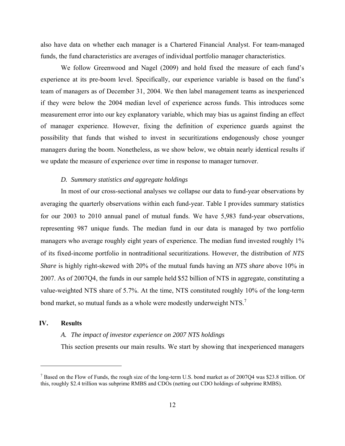also have data on whether each manager is a Chartered Financial Analyst. For team-managed funds, the fund characteristics are averages of individual portfolio manager characteristics.

We follow Greenwood and Nagel (2009) and hold fixed the measure of each fund's experience at its pre-boom level. Specifically, our experience variable is based on the fund's team of managers as of December 31, 2004. We then label management teams as inexperienced if they were below the 2004 median level of experience across funds. This introduces some measurement error into our key explanatory variable, which may bias us against finding an effect of manager experience. However, fixing the definition of experience guards against the possibility that funds that wished to invest in securitizations endogenously chose younger managers during the boom. Nonetheless, as we show below, we obtain nearly identical results if we update the measure of experience over time in response to manager turnover.

## *D. Summary statistics and aggregate holdings*

In most of our cross-sectional analyses we collapse our data to fund-year observations by averaging the quarterly observations within each fund-year. Table I provides summary statistics for our 2003 to 2010 annual panel of mutual funds. We have 5,983 fund-year observations, representing 987 unique funds. The median fund in our data is managed by two portfolio managers who average roughly eight years of experience. The median fund invested roughly 1% of its fixed-income portfolio in nontraditional securitizations. However, the distribution of *NTS Share* is highly right-skewed with 20% of the mutual funds having an *NTS share* above 10% in 2007. As of 2007Q4, the funds in our sample held \$52 billion of NTS in aggregate, constituting a value-weighted NTS share of 5.7%. At the time, NTS constituted roughly 10% of the long-term bond market, so mutual funds as a whole were modestly underweight NTS.<sup>7</sup>

## **IV. Results**

 $\overline{a}$ 

## *A. The impact of investor experience on 2007 NTS holdings*

This section presents our main results. We start by showing that inexperienced managers

 $^7$  Based on the Flow of Funds, the rough size of the long-term U.S. bond market as of 2007Q4 was \$23.8 trillion. Of this, roughly \$2.4 trillion was subprime RMBS and CDOs (netting out CDO holdings of subprime RMBS).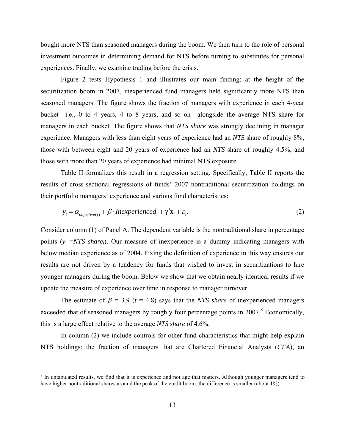bought more NTS than seasoned managers during the boom. We then turn to the role of personal investment outcomes in determining demand for NTS before turning to substitutes for personal experiences. Finally, we examine trading before the crisis.

Figure 2 tests Hypothesis 1 and illustrates our main finding: at the height of the securitization boom in 2007, inexperienced fund managers held significantly more NTS than seasoned managers. The figure shows the fraction of managers with experience in each 4-year bucket—i.e., 0 to 4 years, 4 to 8 years, and so on—alongside the average NTS share for managers in each bucket. The figure shows that *NTS share* was strongly declining in manager experience. Managers with less than eight years of experience had an *NTS* share of roughly 8%, those with between eight and 20 years of experience had an *NTS* share of roughly 4.5%, and those with more than 20 years of experience had minimal NTS exposure.

Table II formalizes this result in a regression setting. Specifically, Table II reports the results of cross-sectional regressions of funds' 2007 nontraditional securitization holdings on their portfolio managers' experience and various fund characteristics:

$$
y_i = \alpha_{objective(i)} + \beta \cdot Inexperienced_i + \gamma' \mathbf{x}_i + \varepsilon_i.
$$
 (2)

Consider column (1) of Panel A. The dependent variable is the nontraditional share in percentage points (*yi* =*NTS sharei*). Our measure of inexperience is a dummy indicating managers with below median experience as of 2004. Fixing the definition of experience in this way ensures our results are not driven by a tendency for funds that wished to invest in securitizations to hire younger managers during the boom. Below we show that we obtain nearly identical results if we update the measure of experience over time in response to manager turnover.

The estimate of  $\beta = 3.9$  ( $t = 4.8$ ) says that the *NTS share* of inexperienced managers exceeded that of seasoned managers by roughly four percentage points in  $2007$ .<sup>8</sup> Economically, this is a large effect relative to the average *NTS share* of 4.6%.

In column (2) we include controls for other fund characteristics that might help explain NTS holdings: the fraction of managers that are Chartered Financial Analysts (*CFA*), an

<sup>&</sup>lt;sup>8</sup> In untabulated results, we find that it is experience and not age that matters. Although younger managers tend to have higher nontraditional shares around the peak of the credit boom, the difference is smaller (about 1%).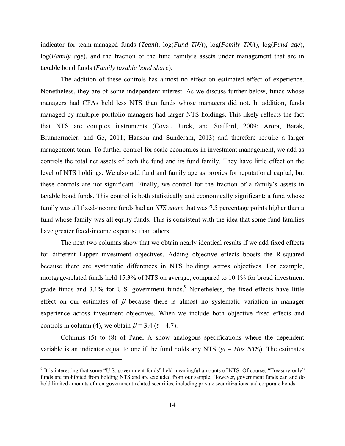indicator for team-managed funds (*Team*), log(*Fund TNA*), log(*Family TNA*), log(*Fund age*), log(*Family age*), and the fraction of the fund family's assets under management that are in taxable bond funds (*Family taxable bond share*).

The addition of these controls has almost no effect on estimated effect of experience. Nonetheless, they are of some independent interest. As we discuss further below, funds whose managers had CFAs held less NTS than funds whose managers did not. In addition, funds managed by multiple portfolio managers had larger NTS holdings. This likely reflects the fact that NTS are complex instruments (Coval, Jurek, and Stafford, 2009; Arora, Barak, Brunnermeier, and Ge, 2011; Hanson and Sunderam, 2013) and therefore require a larger management team. To further control for scale economies in investment management, we add as controls the total net assets of both the fund and its fund family. They have little effect on the level of NTS holdings. We also add fund and family age as proxies for reputational capital, but these controls are not significant. Finally, we control for the fraction of a family's assets in taxable bond funds. This control is both statistically and economically significant: a fund whose family was all fixed-income funds had an *NTS share* that was 7.5 percentage points higher than a fund whose family was all equity funds. This is consistent with the idea that some fund families have greater fixed-income expertise than others.

 The next two columns show that we obtain nearly identical results if we add fixed effects for different Lipper investment objectives. Adding objective effects boosts the R-squared because there are systematic differences in NTS holdings across objectives. For example, mortgage-related funds held 15.3% of NTS on average, compared to 10.1% for broad investment grade funds and  $3.1\%$  for U.S. government funds. Nonetheless, the fixed effects have little effect on our estimates of  $\beta$  because there is almost no systematic variation in manager experience across investment objectives. When we include both objective fixed effects and controls in column (4), we obtain  $\beta = 3.4$  ( $t = 4.7$ ).

 Columns (5) to (8) of Panel A show analogous specifications where the dependent variable is an indicator equal to one if the fund holds any NTS  $(y_i = Has NTS_i)$ . The estimates

<sup>&</sup>lt;sup>9</sup> It is interesting that some "U.S. government funds" held meaningful amounts of NTS. Of course, "Treasury-only" funds are prohibited from holding NTS and are excluded from our sample. However, government funds can and do hold limited amounts of non-government-related securities, including private securitizations and corporate bonds.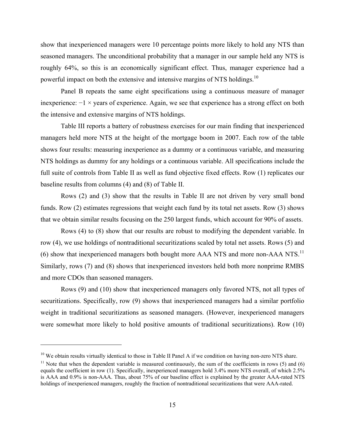show that inexperienced managers were 10 percentage points more likely to hold any NTS than seasoned managers. The unconditional probability that a manager in our sample held any NTS is roughly 64%, so this is an economically significant effect. Thus, manager experience had a powerful impact on both the extensive and intensive margins of NTS holdings.<sup>10</sup>

Panel B repeats the same eight specifications using a continuous measure of manager inexperience: −1 × years of experience. Again, we see that experience has a strong effect on both the intensive and extensive margins of NTS holdings.

Table III reports a battery of robustness exercises for our main finding that inexperienced managers held more NTS at the height of the mortgage boom in 2007. Each row of the table shows four results: measuring inexperience as a dummy or a continuous variable, and measuring NTS holdings as dummy for any holdings or a continuous variable. All specifications include the full suite of controls from Table II as well as fund objective fixed effects. Row (1) replicates our baseline results from columns (4) and (8) of Table II.

Rows (2) and (3) show that the results in Table II are not driven by very small bond funds. Row (2) estimates regressions that weight each fund by its total net assets. Row (3) shows that we obtain similar results focusing on the 250 largest funds, which account for 90% of assets.

Rows (4) to (8) show that our results are robust to modifying the dependent variable. In row (4), we use holdings of nontraditional securitizations scaled by total net assets. Rows (5) and (6) show that inexperienced managers both bought more AAA NTS and more non-AAA NTS.<sup>11</sup> Similarly, rows (7) and (8) shows that inexperienced investors held both more nonprime RMBS and more CDOs than seasoned managers.

Rows (9) and (10) show that inexperienced managers only favored NTS, not all types of securitizations. Specifically, row (9) shows that inexperienced managers had a similar portfolio weight in traditional securitizations as seasoned managers. (However, inexperienced managers were somewhat more likely to hold positive amounts of traditional securitizations). Row (10)

1

<sup>&</sup>lt;sup>10</sup> We obtain results virtually identical to those in Table II Panel A if we condition on having non-zero NTS share.<br><sup>11</sup> Note that when the dependent variable is measured continuously, the sum of the coefficients in row

equals the coefficient in row (1). Specifically, inexperienced managers hold 3.4% more NTS overall, of which 2.5% is AAA and 0.9% is non-AAA. Thus, about 75% of our baseline effect is explained by the greater AAA-rated NTS holdings of inexperienced managers, roughly the fraction of nontraditional securitizations that were AAA-rated.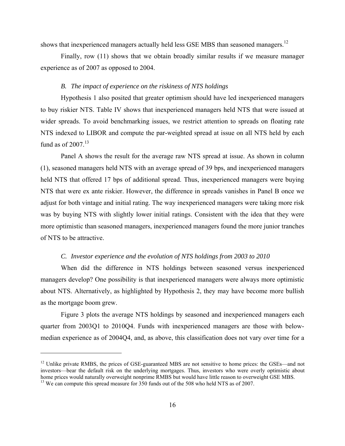shows that inexperienced managers actually held less GSE MBS than seasoned managers.<sup>12</sup>

Finally, row (11) shows that we obtain broadly similar results if we measure manager experience as of 2007 as opposed to 2004.

## *B. The impact of experience on the riskiness of NTS holdings*

Hypothesis 1 also posited that greater optimism should have led inexperienced managers to buy riskier NTS. Table IV shows that inexperienced managers held NTS that were issued at wider spreads. To avoid benchmarking issues, we restrict attention to spreads on floating rate NTS indexed to LIBOR and compute the par-weighted spread at issue on all NTS held by each fund as of  $2007$ .<sup>13</sup>

Panel A shows the result for the average raw NTS spread at issue. As shown in column (1), seasoned managers held NTS with an average spread of 39 bps, and inexperienced managers held NTS that offered 17 bps of additional spread. Thus, inexperienced managers were buying NTS that were ex ante riskier. However, the difference in spreads vanishes in Panel B once we adjust for both vintage and initial rating. The way inexperienced managers were taking more risk was by buying NTS with slightly lower initial ratings. Consistent with the idea that they were more optimistic than seasoned managers, inexperienced managers found the more junior tranches of NTS to be attractive.

#### *C. Investor experience and the evolution of NTS holdings from 2003 to 2010*

When did the difference in NTS holdings between seasoned versus inexperienced managers develop? One possibility is that inexperienced managers were always more optimistic about NTS. Alternatively, as highlighted by Hypothesis 2, they may have become more bullish as the mortgage boom grew.

Figure 3 plots the average NTS holdings by seasoned and inexperienced managers each quarter from 2003Q1 to 2010Q4. Funds with inexperienced managers are those with belowmedian experience as of 2004Q4, and, as above, this classification does not vary over time for a

 $12$  Unlike private RMBS, the prices of GSE-guaranteed MBS are not sensitive to home prices: the GSEs—and not investors—bear the default risk on the underlying mortgages. Thus, investors who were overly optimistic about

 $h^{13}$  We can compute this spread measure for 350 funds out of the 508 who held NTS as of 2007.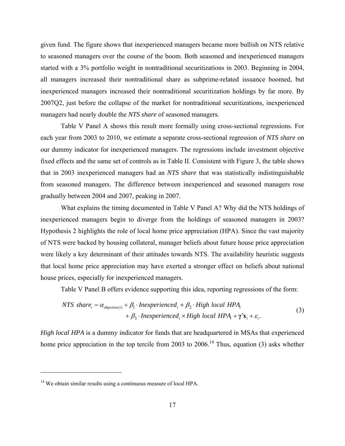given fund. The figure shows that inexperienced managers became more bullish on NTS relative to seasoned managers over the course of the boom. Both seasoned and inexperienced managers started with a 3% portfolio weight in nontraditional securitizations in 2003. Beginning in 2004, all managers increased their nontraditional share as subprime-related issuance boomed, but inexperienced managers increased their nontraditional securitization holdings by far more. By 2007Q2, just before the collapse of the market for nontraditional securitizations, inexperienced managers had nearly double the *NTS share* of seasoned managers.

Table V Panel A shows this result more formally using cross-sectional regressions. For each year from 2003 to 2010, we estimate a separate cross-sectional regression of *NTS share* on our dummy indicator for inexperienced managers. The regressions include investment objective fixed effects and the same set of controls as in Table II. Consistent with Figure 3, the table shows that in 2003 inexperienced managers had an *NTS share* that was statistically indistinguishable from seasoned managers. The difference between inexperienced and seasoned managers rose gradually between 2004 and 2007, peaking in 2007.

What explains the timing documented in Table V Panel A? Why did the NTS holdings of inexperienced managers begin to diverge from the holdings of seasoned managers in 2003? Hypothesis 2 highlights the role of local home price appreciation (HPA). Since the vast majority of NTS were backed by housing collateral, manager beliefs about future house price appreciation were likely a key determinant of their attitudes towards NTS. The availability heuristic suggests that local home price appreciation may have exerted a stronger effect on beliefs about national house prices, especially for inexperienced managers.

Table V Panel B offers evidence supporting this idea, reporting regressions of the form:

$$
NTS share_i = \alpha_{objective(i)} + \beta_1 \cdot In experienced_i + \beta_2 \cdot High local HPA_i
$$
  
+  $\beta_3 \cdot In experienced_i \times High local HPA_i + \gamma' \mathbf{x}_i + \varepsilon_i$ . (3)

*High local HPA* is a dummy indicator for funds that are headquartered in MSAs that experienced home price appreciation in the top tercile from 2003 to  $2006$ .<sup>14</sup> Thus, equation (3) asks whether

<sup>&</sup>lt;sup>14</sup> We obtain similar results using a continuous measure of local HPA.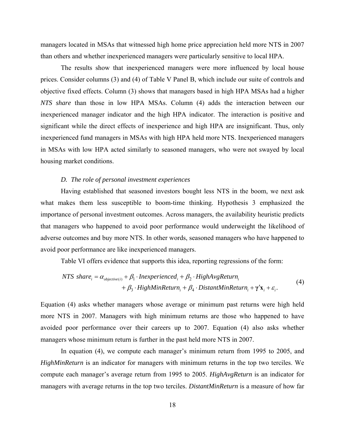managers located in MSAs that witnessed high home price appreciation held more NTS in 2007 than others and whether inexperienced managers were particularly sensitive to local HPA.

The results show that inexperienced managers were more influenced by local house prices. Consider columns (3) and (4) of Table V Panel B, which include our suite of controls and objective fixed effects. Column (3) shows that managers based in high HPA MSAs had a higher *NTS share* than those in low HPA MSAs. Column (4) adds the interaction between our inexperienced manager indicator and the high HPA indicator. The interaction is positive and significant while the direct effects of inexperience and high HPA are insignificant. Thus, only inexperienced fund managers in MSAs with high HPA held more NTS. Inexperienced managers in MSAs with low HPA acted similarly to seasoned managers, who were not swayed by local housing market conditions.

# *D. The role of personal investment experiences*

Having established that seasoned investors bought less NTS in the boom, we next ask what makes them less susceptible to boom-time thinking. Hypothesis 3 emphasized the importance of personal investment outcomes. Across managers, the availability heuristic predicts that managers who happened to avoid poor performance would underweight the likelihood of adverse outcomes and buy more NTS. In other words, seasoned managers who have happened to avoid poor performance are like inexperienced managers.

Table VI offers evidence that supports this idea, reporting regressions of the form:

$$
NTS share_i = \alpha_{objective(i)} + \beta_1 \cdot In experienced_i + \beta_2 \cdot HighAvgReturn_i
$$
  
+  $\beta_3 \cdot HighMinReturn_i + \beta_4 \cdot DistantMinReturn_i + \gamma' \mathbf{x}_i + \varepsilon_i$ . (4)

Equation (4) asks whether managers whose average or minimum past returns were high held more NTS in 2007. Managers with high minimum returns are those who happened to have avoided poor performance over their careers up to 2007. Equation (4) also asks whether managers whose minimum return is further in the past held more NTS in 2007.

In equation (4), we compute each manager's minimum return from 1995 to 2005, and *HighMinReturn* is an indicator for managers with minimum returns in the top two terciles. We compute each manager's average return from 1995 to 2005. *HighAvgReturn* is an indicator for managers with average returns in the top two terciles. *DistantMinReturn* is a measure of how far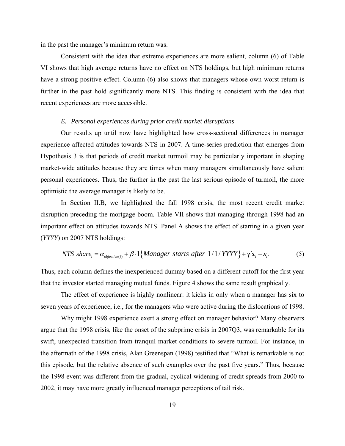in the past the manager's minimum return was.

Consistent with the idea that extreme experiences are more salient, column (6) of Table VI shows that high average returns have no effect on NTS holdings, but high minimum returns have a strong positive effect. Column (6) also shows that managers whose own worst return is further in the past hold significantly more NTS. This finding is consistent with the idea that recent experiences are more accessible.

#### *E. Personal experiences during prior credit market disruptions*

Our results up until now have highlighted how cross-sectional differences in manager experience affected attitudes towards NTS in 2007. A time-series prediction that emerges from Hypothesis 3 is that periods of credit market turmoil may be particularly important in shaping market-wide attitudes because they are times when many managers simultaneously have salient personal experiences. Thus, the further in the past the last serious episode of turmoil, the more optimistic the average manager is likely to be.

In Section II.B, we highlighted the fall 1998 crisis, the most recent credit market disruption preceding the mortgage boom. Table VII shows that managing through 1998 had an important effect on attitudes towards NTS. Panel A shows the effect of starting in a given year (*YYYY*) on 2007 NTS holdings:

$$
NTS share_i = \alpha_{objective(i)} + \beta \cdot 1 \{Manager starts after 1/1/YYY\} + \gamma' \mathbf{x}_i + \varepsilon_i.
$$
 (5)

Thus, each column defines the inexperienced dummy based on a different cutoff for the first year that the investor started managing mutual funds. Figure 4 shows the same result graphically.

The effect of experience is highly nonlinear: it kicks in only when a manager has six to seven years of experience, i.e., for the managers who were active during the dislocations of 1998.

Why might 1998 experience exert a strong effect on manager behavior? Many observers argue that the 1998 crisis, like the onset of the subprime crisis in 2007Q3, was remarkable for its swift, unexpected transition from tranquil market conditions to severe turmoil. For instance, in the aftermath of the 1998 crisis, Alan Greenspan (1998) testified that "What is remarkable is not this episode, but the relative absence of such examples over the past five years." Thus, because the 1998 event was different from the gradual, cyclical widening of credit spreads from 2000 to 2002, it may have more greatly influenced manager perceptions of tail risk.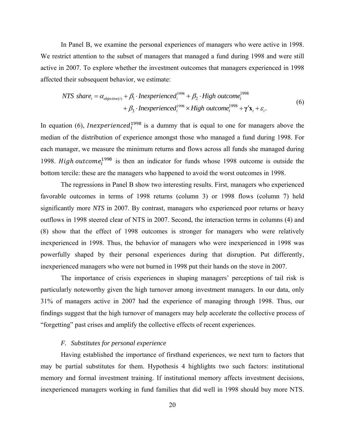In Panel B, we examine the personal experiences of managers who were active in 1998. We restrict attention to the subset of managers that managed a fund during 1998 and were still active in 2007. To explore whether the investment outcomes that managers experienced in 1998 affected their subsequent behavior, we estimate:

$$
NTS share_i = \alpha_{objective(i)} + \beta_1 \cdot In experienced_i^{1998} + \beta_2 \cdot High outcome_i^{1998} + \gamma' \mathbf{x}_i + \varepsilon_i.
$$
  
+  $\beta_3 \cdot In experienced_i^{1998} \times High outcome_i^{1998} + \gamma' \mathbf{x}_i + \varepsilon_i.$  (6)

In equation (6), *Inexperienced*<sup>1998</sup> is a dummy that is equal to one for managers above the median of the distribution of experience amongst those who managed a fund during 1998. For each manager, we measure the minimum returns and flows across all funds she managed during 1998. High outcome<sup>1998</sup> is then an indicator for funds whose 1998 outcome is outside the bottom tercile: these are the managers who happened to avoid the worst outcomes in 1998.

The regressions in Panel B show two interesting results. First, managers who experienced favorable outcomes in terms of 1998 returns (column 3) or 1998 flows (column 7) held significantly more *NTS* in 2007. By contrast, managers who experienced poor returns or heavy outflows in 1998 steered clear of NTS in 2007. Second, the interaction terms in columns (4) and (8) show that the effect of 1998 outcomes is stronger for managers who were relatively inexperienced in 1998. Thus, the behavior of managers who were inexperienced in 1998 was powerfully shaped by their personal experiences during that disruption. Put differently, inexperienced managers who were not burned in 1998 put their hands on the stove in 2007.

The importance of crisis experiences in shaping managers' perceptions of tail risk is particularly noteworthy given the high turnover among investment managers. In our data, only 31% of managers active in 2007 had the experience of managing through 1998. Thus, our findings suggest that the high turnover of managers may help accelerate the collective process of "forgetting" past crises and amplify the collective effects of recent experiences.

# *F. Substitutes for personal experience*

Having established the importance of firsthand experiences, we next turn to factors that may be partial substitutes for them. Hypothesis 4 highlights two such factors: institutional memory and formal investment training. If institutional memory affects investment decisions, inexperienced managers working in fund families that did well in 1998 should buy more NTS.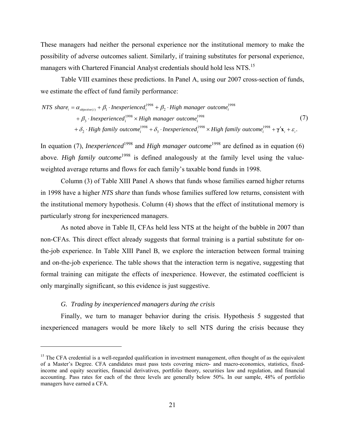These managers had neither the personal experience nor the institutional memory to make the possibility of adverse outcomes salient. Similarly, if training substitutes for personal experience, managers with Chartered Financial Analyst credentials should hold less NTS.<sup>15</sup>

Table VIII examines these predictions. In Panel A, using our 2007 cross-section of funds, we estimate the effect of fund family performance:

$$
NTS share_i = \alpha_{objective(i)} + \beta_1 \cdot In experienced_i^{1998} + \beta_2 \cdot High manager outcome_i^{1998}
$$
  
+  $\beta_3 \cdot In experienced_i^{1998} \times High manager outcome_i^{1998}$   
+  $\delta_2 \cdot High family outcome_i^{1998} + \delta_3 \cdot In experienced_i^{1998} \times High family outcome_i^{1998} + \gamma' \mathbf{x}_i + \varepsilon_i$ . (7)

In equation (7), *Inexperienced*<sup>1998</sup> and *High manager outcome*<sup>1998</sup> are defined as in equation (6) above. *High family outcome*<sup>1998</sup> is defined analogously at the family level using the valueweighted average returns and flows for each family's taxable bond funds in 1998.

Column (3) of Table XIII Panel A shows that funds whose families earned higher returns in 1998 have a higher *NTS share* than funds whose families suffered low returns, consistent with the institutional memory hypothesis. Column (4) shows that the effect of institutional memory is particularly strong for inexperienced managers.

As noted above in Table II, CFAs held less NTS at the height of the bubble in 2007 than non-CFAs. This direct effect already suggests that formal training is a partial substitute for onthe-job experience. In Table XIII Panel B, we explore the interaction between formal training and on-the-job experience. The table shows that the interaction term is negative, suggesting that formal training can mitigate the effects of inexperience. However, the estimated coefficient is only marginally significant, so this evidence is just suggestive.

# *G. Trading by inexperienced managers during the crisis*

 $\overline{a}$ 

Finally, we turn to manager behavior during the crisis. Hypothesis 5 suggested that inexperienced managers would be more likely to sell NTS during the crisis because they

<sup>&</sup>lt;sup>15</sup> The CFA credential is a well-regarded qualification in investment management, often thought of as the equivalent of a Master's Degree. CFA candidates must pass tests covering micro- and macro-economics, statistics, fixedincome and equity securities, financial derivatives, portfolio theory, securities law and regulation, and financial accounting. Pass rates for each of the three levels are generally below 50%. In our sample, 48% of portfolio managers have earned a CFA.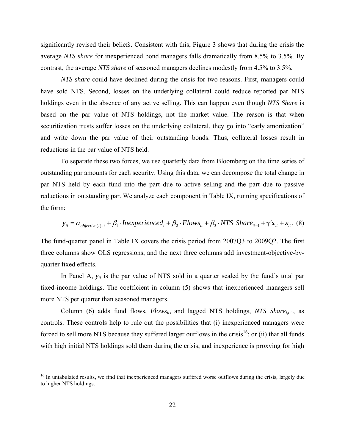significantly revised their beliefs. Consistent with this, Figure 3 shows that during the crisis the average *NTS share* for inexperienced bond managers falls dramatically from 8.5% to 3.5%. By contrast, the average *NTS share* of seasoned managers declines modestly from 4.5% to 3.5%.

*NTS share* could have declined during the crisis for two reasons. First, managers could have sold NTS. Second, losses on the underlying collateral could reduce reported par NTS holdings even in the absence of any active selling. This can happen even though *NTS Share* is based on the par value of NTS holdings, not the market value. The reason is that when securitization trusts suffer losses on the underlying collateral, they go into "early amortization" and write down the par value of their outstanding bonds. Thus, collateral losses result in reductions in the par value of NTS held.

To separate these two forces, we use quarterly data from Bloomberg on the time series of outstanding par amounts for each security. Using this data, we can decompose the total change in par NTS held by each fund into the part due to active selling and the part due to passive reductions in outstanding par. We analyze each component in Table IX, running specifications of the form:

$$
y_{it} = \alpha_{objective(i)x} + \beta_1 \cdot In experienced_i + \beta_2 \cdot Flows_{it} + \beta_3 \cdot NTS \,Share_{it-1} + \gamma' \mathbf{x}_{it} + \varepsilon_{it}.
$$
 (8)

The fund-quarter panel in Table IX covers the crisis period from 2007Q3 to 2009Q2. The first three columns show OLS regressions, and the next three columns add investment-objective-byquarter fixed effects.

In Panel A, *yit* is the par value of NTS sold in a quarter scaled by the fund's total par fixed-income holdings. The coefficient in column (5) shows that inexperienced managers sell more NTS per quarter than seasoned managers.

Column (6) adds fund flows,  $Flows_{it}$ , and lagged NTS holdings, *NTS Share<sub>it-1</sub>*, as controls. These controls help to rule out the possibilities that (i) inexperienced managers were forced to sell more NTS because they suffered larger outflows in the crisis<sup>16</sup>; or (ii) that all funds with high initial NTS holdings sold them during the crisis, and inexperience is proxying for high

<sup>&</sup>lt;sup>16</sup> In untabulated results, we find that inexperienced managers suffered worse outflows during the crisis, largely due to higher NTS holdings.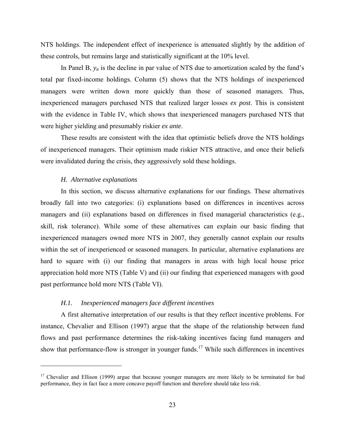NTS holdings. The independent effect of inexperience is attenuated slightly by the addition of these controls, but remains large and statistically significant at the 10% level.

In Panel B,  $y_{it}$  is the decline in par value of NTS due to amortization scaled by the fund's total par fixed-income holdings. Column (5) shows that the NTS holdings of inexperienced managers were written down more quickly than those of seasoned managers. Thus, inexperienced managers purchased NTS that realized larger losses *ex post*. This is consistent with the evidence in Table IV, which shows that inexperienced managers purchased NTS that were higher yielding and presumably riskier *ex ante*.

These results are consistent with the idea that optimistic beliefs drove the NTS holdings of inexperienced managers. Their optimism made riskier NTS attractive, and once their beliefs were invalidated during the crisis, they aggressively sold these holdings.

#### *H. Alternative explanations*

 $\overline{a}$ 

In this section, we discuss alternative explanations for our findings. These alternatives broadly fall into two categories: (i) explanations based on differences in incentives across managers and (ii) explanations based on differences in fixed managerial characteristics (e.g., skill, risk tolerance). While some of these alternatives can explain our basic finding that inexperienced managers owned more NTS in 2007, they generally cannot explain our results within the set of inexperienced or seasoned managers. In particular, alternative explanations are hard to square with (i) our finding that managers in areas with high local house price appreciation hold more NTS (Table V) and (ii) our finding that experienced managers with good past performance hold more NTS (Table VI).

## *H.1. Inexperienced managers face different incentives*

A first alternative interpretation of our results is that they reflect incentive problems. For instance, Chevalier and Ellison (1997) argue that the shape of the relationship between fund flows and past performance determines the risk-taking incentives facing fund managers and show that performance-flow is stronger in younger funds.17 While such differences in incentives

<sup>&</sup>lt;sup>17</sup> Chevalier and Ellison (1999) argue that because younger managers are more likely to be terminated for bad performance, they in fact face a more concave payoff function and therefore should take less risk.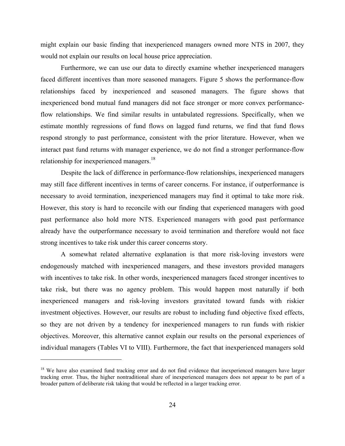might explain our basic finding that inexperienced managers owned more NTS in 2007, they would not explain our results on local house price appreciation.

Furthermore, we can use our data to directly examine whether inexperienced managers faced different incentives than more seasoned managers. Figure 5 shows the performance-flow relationships faced by inexperienced and seasoned managers. The figure shows that inexperienced bond mutual fund managers did not face stronger or more convex performanceflow relationships. We find similar results in untabulated regressions. Specifically, when we estimate monthly regressions of fund flows on lagged fund returns, we find that fund flows respond strongly to past performance, consistent with the prior literature. However, when we interact past fund returns with manager experience, we do not find a stronger performance-flow relationship for inexperienced managers.<sup>18</sup>

 Despite the lack of difference in performance-flow relationships, inexperienced managers may still face different incentives in terms of career concerns. For instance, if outperformance is necessary to avoid termination, inexperienced managers may find it optimal to take more risk. However, this story is hard to reconcile with our finding that experienced managers with good past performance also hold more NTS. Experienced managers with good past performance already have the outperformance necessary to avoid termination and therefore would not face strong incentives to take risk under this career concerns story.

A somewhat related alternative explanation is that more risk-loving investors were endogenously matched with inexperienced managers, and these investors provided managers with incentives to take risk. In other words, inexperienced managers faced stronger incentives to take risk, but there was no agency problem. This would happen most naturally if both inexperienced managers and risk-loving investors gravitated toward funds with riskier investment objectives. However, our results are robust to including fund objective fixed effects, so they are not driven by a tendency for inexperienced managers to run funds with riskier objectives. Moreover, this alternative cannot explain our results on the personal experiences of individual managers (Tables VI to VIII). Furthermore, the fact that inexperienced managers sold

<sup>&</sup>lt;sup>18</sup> We have also examined fund tracking error and do not find evidence that inexperienced managers have larger tracking error. Thus, the higher nontraditional share of inexperienced managers does not appear to be part of a broader pattern of deliberate risk taking that would be reflected in a larger tracking error.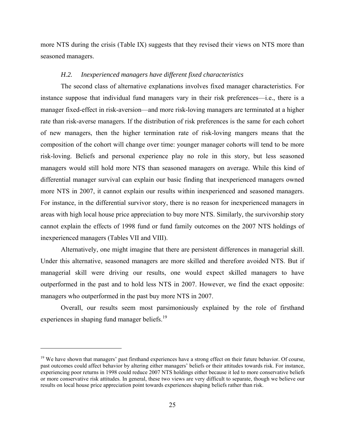more NTS during the crisis (Table IX) suggests that they revised their views on NTS more than seasoned managers.

## *H.2. Inexperienced managers have different fixed characteristics*

The second class of alternative explanations involves fixed manager characteristics. For instance suppose that individual fund managers vary in their risk preferences—i.e., there is a manager fixed-effect in risk-aversion—and more risk-loving managers are terminated at a higher rate than risk-averse managers. If the distribution of risk preferences is the same for each cohort of new managers, then the higher termination rate of risk-loving mangers means that the composition of the cohort will change over time: younger manager cohorts will tend to be more risk-loving. Beliefs and personal experience play no role in this story, but less seasoned managers would still hold more NTS than seasoned managers on average. While this kind of differential manager survival can explain our basic finding that inexperienced managers owned more NTS in 2007, it cannot explain our results within inexperienced and seasoned managers. For instance, in the differential survivor story, there is no reason for inexperienced managers in areas with high local house price appreciation to buy more NTS. Similarly, the survivorship story cannot explain the effects of 1998 fund or fund family outcomes on the 2007 NTS holdings of inexperienced managers (Tables VII and VIII).

Alternatively, one might imagine that there are persistent differences in managerial skill. Under this alternative, seasoned managers are more skilled and therefore avoided NTS. But if managerial skill were driving our results, one would expect skilled managers to have outperformed in the past and to hold less NTS in 2007. However, we find the exact opposite: managers who outperformed in the past buy more NTS in 2007.

Overall, our results seem most parsimoniously explained by the role of firsthand experiences in shaping fund manager beliefs.<sup>19</sup>

 $19$  We have shown that managers' past firsthand experiences have a strong effect on their future behavior. Of course, past outcomes could affect behavior by altering either managers' beliefs or their attitudes towards risk. For instance, experiencing poor returns in 1998 could reduce 2007 NTS holdings either because it led to more conservative beliefs or more conservative risk attitudes. In general, these two views are very difficult to separate, though we believe our results on local house price appreciation point towards experiences shaping beliefs rather than risk.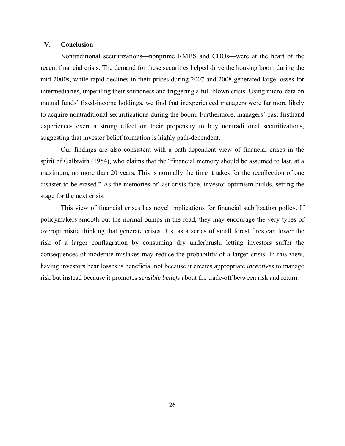# **V. Conclusion**

Nontraditional securitizations—nonprime RMBS and CDOs—were at the heart of the recent financial crisis. The demand for these securities helped drive the housing boom during the mid-2000s, while rapid declines in their prices during 2007 and 2008 generated large losses for intermediaries, imperiling their soundness and triggering a full-blown crisis. Using micro-data on mutual funds' fixed-income holdings, we find that inexperienced managers were far more likely to acquire nontraditional securitizations during the boom. Furthermore, managers' past firsthand experiences exert a strong effect on their propensity to buy nontraditional securitizations, suggesting that investor belief formation is highly path-dependent.

Our findings are also consistent with a path-dependent view of financial crises in the spirit of Galbraith (1954), who claims that the "financial memory should be assumed to last, at a maximum, no more than 20 years. This is normally the time it takes for the recollection of one disaster to be erased." As the memories of last crisis fade, investor optimism builds, setting the stage for the next crisis.

This view of financial crises has novel implications for financial stabilization policy. If policymakers smooth out the normal bumps in the road, they may encourage the very types of overoptimistic thinking that generate crises. Just as a series of small forest fires can lower the risk of a larger conflagration by consuming dry underbrush, letting investors suffer the consequences of moderate mistakes may reduce the probability of a larger crisis. In this view, having investors bear losses is beneficial not because it creates appropriate *incentives* to manage risk but instead because it promotes *sensible beliefs* about the trade-off between risk and return.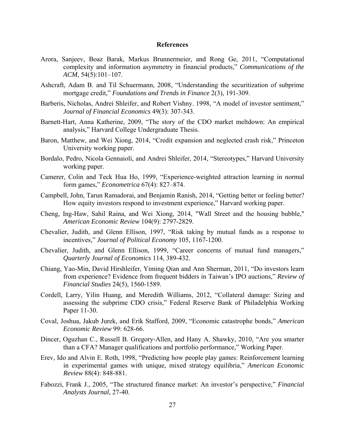#### **References**

- Arora, Sanjeev, Boaz Barak, Markus Brunnermeier, and Rong Ge, 2011, "Computational complexity and information asymmetry in financial products," *Communications of the ACM*, 54(5):101–107.
- Ashcraft, Adam B. and Til Schuermann, 2008, "Understanding the securitization of subprime mortgage credit," *Foundations and Trends in Finance* 2(3), 191-309.
- Barberis, Nicholas, Andrei Shleifer, and Robert Vishny. 1998, "A model of investor sentiment," *Journal of Financial Economics* 49(3): 307-343.
- Barnett-Hart, Anna Katherine, 2009, "The story of the CDO market meltdown: An empirical analysis," Harvard College Undergraduate Thesis.
- Baron, Matthew, and Wei Xiong, 2014, "Credit expansion and neglected crash risk," Princeton University working paper.
- Bordalo, Pedro, Nicola Gennaioli, and Andrei Shleifer, 2014, "Stereotypes," Harvard University working paper.
- Camerer, Colin and Teck Hua Ho, 1999, "Experience-weighted attraction learning in normal form games," *Econometrica* 67(4): 827–874.
- Campbell, John, Tarun Ramadorai, and Benjamin Ranish, 2014, "Getting better or feeling better? How equity investors respond to investment experience," Harvard working paper.
- Cheng, Ing-Haw, Sahil Raina, and Wei Xiong, 2014, "Wall Street and the housing bubble," *American Economic Review* 104(9): 2797-2829.
- Chevalier, Judith, and Glenn Ellison, 1997, "Risk taking by mutual funds as a response to incentives," *Journal of Political Economy* 105, 1167-1200.
- Chevalier, Judith, and Glenn Ellison, 1999, "Career concerns of mutual fund managers," *Quarterly Journal of Economics* 114, 389-432.
- Chiang, Yao-Min, David Hirshleifer, Yiming Qian and Ann Sherman, 2011, "Do investors learn from experience? Evidence from frequent bidders in Taiwan's IPO auctions," *Review of Financial Studies* 24(5), 1560-1589.
- Cordell, Larry, Yilin Huang, and Meredith Williams, 2012, "Collateral damage: Sizing and assessing the subprime CDO crisis," Federal Reserve Bank of Philadelphia Working Paper 11-30.
- Coval, Joshua, Jakub Jurek, and Erik Stafford, 2009, "Economic catastrophe bonds," *American Economic Review* 99: 628-66.
- Dincer, Oguzhan C., Russell B. Gregory-Allen, and Hany A. Shawky, 2010, "Are you smarter than a CFA? Manager qualifications and portfolio performance," Working Paper.
- Erev, Ido and Alvin E. Roth, 1998, "Predicting how people play games: Reinforcement learning in experimental games with unique, mixed strategy equilibria," *American Economic Review* 88(4): 848-881.
- Fabozzi, Frank J., 2005, "The structured finance market: An investor's perspective," *Financial Analysts Journal*, 27-40.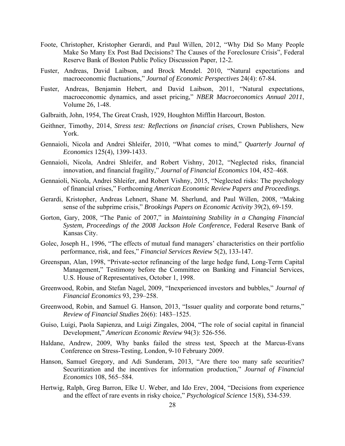- Foote, Christopher, Kristopher Gerardi, and Paul Willen, 2012, "Why Did So Many People Make So Many Ex Post Bad Decisions? The Causes of the Foreclosure Crisis", Federal Reserve Bank of Boston Public Policy Discussion Paper, 12-2*.*
- Fuster, Andreas, David Laibson, and Brock Mendel. 2010, "Natural expectations and macroeconomic fluctuations," *Journal of Economic Perspectives* 24(4): 67-84.
- Fuster, Andreas, Benjamin Hebert, and David Laibson, 2011, "Natural expectations, macroeconomic dynamics, and asset pricing," *NBER Macroeconomics Annual 2011*, Volume 26, 1-48.
- Galbraith, John, 1954, The Great Crash, 1929, Houghton Mifflin Harcourt, Boston.
- Geithner, Timothy, 2014, *Stress test: Reflections on financial crises*, Crown Publishers, New York.
- Gennaioli, Nicola and Andrei Shleifer, 2010, "What comes to mind," *Quarterly Journal of Economics* 125(4), 1399-1433.
- Gennaioli, Nicola, Andrei Shleifer, and Robert Vishny, 2012, "Neglected risks, financial innovation, and financial fragility," *Journal of Financial Economics* 104, 452–468.
- Gennaioli, Nicola, Andrei Shleifer, and Robert Vishny, 2015, "Neglected risks: The psychology of financial crises," Forthcoming *American Economic Review Papers and Proceedings*.
- Gerardi, Kristopher, Andreas Lehnert, Shane M. Sherlund, and Paul Willen, 2008, "Making sense of the subprime crisis," *Brookings Papers on Economic Activity* 39(2), 69-159.
- Gorton, Gary, 2008, "The Panic of 2007," in *Maintaining Stability in a Changing Financial System, Proceedings of the 2008 Jackson Hole Conference*, Federal Reserve Bank of Kansas City.
- Golec, Joseph H., 1996, "The effects of mutual fund managers' characteristics on their portfolio performance, risk, and fees," *Financial Services Review* 5(2), 133-147.
- Greenspan, Alan, 1998, "Private-sector refinancing of the large hedge fund, Long-Term Capital Management," Testimony before the Committee on Banking and Financial Services, U.S. House of Representatives, October 1, 1998.
- Greenwood, Robin, and Stefan Nagel, 2009, "Inexperienced investors and bubbles," *Journal of Financial Economics* 93, 239–258.
- Greenwood, Robin, and Samuel G. Hanson, 2013, "Issuer quality and corporate bond returns," *Review of Financial Studies* 26(6): 1483–1525.
- Guiso, Luigi, Paola Sapienza, and Luigi Zingales, 2004, "The role of social capital in financial Development," *American Economic Review* 94(3): 526-556.
- Haldane, Andrew, 2009, Why banks failed the stress test, Speech at the Marcus-Evans Conference on Stress-Testing, London, 9-10 February 2009.
- Hanson, Samuel Gregory, and Adi Sunderam, 2013, "Are there too many safe securities? Securitization and the incentives for information production," *Journal of Financial Economics* 108, 565–584.
- Hertwig, Ralph, Greg Barron, Elke U. Weber, and Ido Erev, 2004, "Decisions from experience and the effect of rare events in risky choice," *Psychological Science* 15(8), 534-539.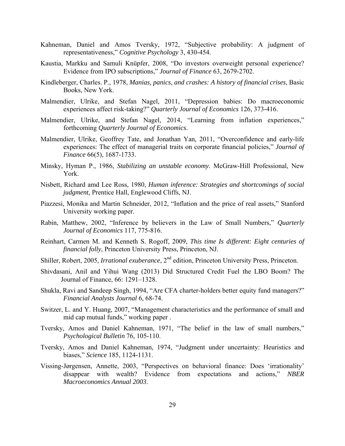- Kahneman, Daniel and Amos Tversky, 1972, "Subjective probability: A judgment of representativeness," *Cognitive Psychology* 3, 430-454.
- Kaustia, Markku and Samuli Knüpfer, 2008, "Do investors overweight personal experience? Evidence from IPO subscriptions," *Journal of Finance* 63, 2679-2702.
- Kindleberger, Charles. P., 1978, *Manias, panics, and crashes: A history of financial crises*, Basic Books, New York.
- Malmendier, Ulrike, and Stefan Nagel, 2011, "Depression babies: Do macroeconomic experiences affect risk-taking?" *Quarterly Journal of Economics* 126, 373-416.
- Malmendier, Ulrike, and Stefan Nagel, 2014, "Learning from inflation experiences," forthcoming *Quarterly Journal of Economics*.
- Malmendier, Ulrike, Geoffrey Tate, and Jonathan Yan, 2011, "Overconfidence and early-life experiences: The effect of managerial traits on corporate financial policies," *Journal of Finance* 66(5), 1687-1733.
- Minsky, Hyman P., 1986, *Stabilizing an unstable economy*. McGraw-Hill Professional, New York.
- Nisbett, Richard amd Lee Ross, 1980, *Human inference: Strategies and shortcomings of social judgment,* Prentice Hall, Englewood Cliffs, NJ.
- Piazzesi, Monika and Martin Schneider, 2012, "Inflation and the price of real assets," Stanford University working paper.
- Rabin, Matthew, 2002, "Inference by believers in the Law of Small Numbers," *Quarterly Journal of Economics* 117, 775-816.
- Reinhart, Carmen M. and Kenneth S. Rogoff, 2009, *This time Is different: Eight centuries of financial folly*, Princeton University Press, Princeton, NJ.
- Shiller, Robert, 2005, *Irrational exuberance*, 2nd edition, Princeton University Press, Princeton.
- Shivdasani, Anil and Yihui Wang (2013) Did Structured Credit Fuel the LBO Boom? The Journal of Finance, 66: 1291–1328.
- Shukla, Ravi and Sandeep Singh, 1994, "Are CFA charter-holders better equity fund managers?" *Financial Analysts Journal* 6, 68-74.
- Switzer, L. and Y. Huang, 2007, "Management characteristics and the performance of small and mid cap mutual funds," working paper .
- Tversky, Amos and Daniel Kahneman, 1971, "The belief in the law of small numbers," *Psychological Bulletin* 76, 105-110.
- Tversky, Amos and Daniel Kahneman, 1974, "Judgment under uncertainty: Heuristics and biases," *Science* 185, 1124-1131.
- Vissing-Jørgensen, Annette, 2003, "Perspectives on behavioral finance: Does 'irrationality' disappear with wealth? Evidence from expectations and actions," *NBER Macroeconomics Annual 2003*.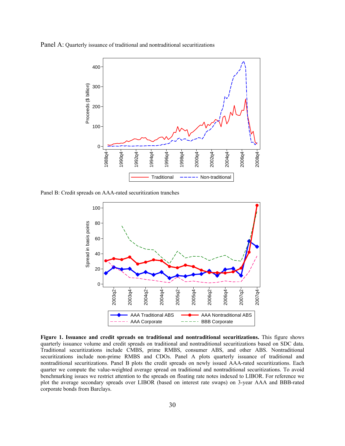Panel A: Quarterly issuance of traditional and nontraditional securitizations



Panel B: Credit spreads on AAA-rated securitization tranches



 **Figure 1. Issuance and credit spreads on traditional and nontraditional securitizations.** This figure shows quarterly issuance volume and credit spreads on traditional and nontraditional securitizations based on SDC data. Traditional securitizations include CMBS, prime RMBS, consumer ABS, and other ABS. Nontraditional securitizations include non-prime RMBS and CDOs. Panel A plots quarterly issuance of traditional and nontraditional securitizations. Panel B plots the credit spreads on newly issued AAA-rated securitizations. Each quarter we compute the value-weighted average spread on traditional and nontraditional securitizations. To avoid benchmarking issues we restrict attention to the spreads on floating rate notes indexed to LIBOR. For reference we plot the average secondary spreads over LIBOR (based on interest rate swaps) on 3-year AAA and BBB-rated corporate bonds from Barclays.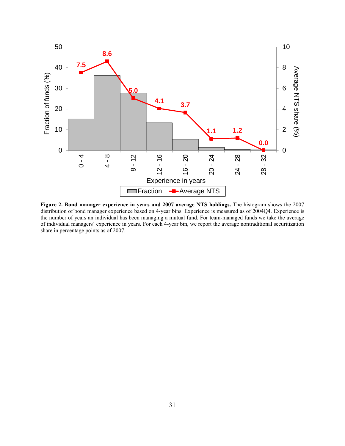

**Figure 2. Bond manager experience in years and 2007 average NTS holdings.** The histogram shows the 2007 distribution of bond manager experience based on 4-year bins. Experience is measured as of 2004Q4. Experience is the number of years an individual has been managing a mutual fund. For team-managed funds we take the average of individual managers' experience in years. For each 4-year bin, we report the average nontraditional securitization share in percentage points as of 2007.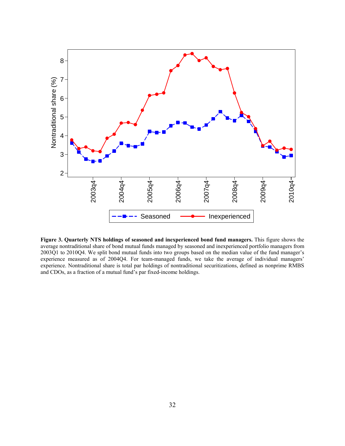

**Figure 3. Quarterly NTS holdings of seasoned and inexperienced bond fund managers.** This figure shows the average nontraditional share of bond mutual funds managed by seasoned and inexperienced portfolio managers from 2003Q1 to 2010Q4. We split bond mutual funds into two groups based on the median value of the fund manager's experience measured as of 2004Q4. For team-managed funds, we take the average of individual managers' experience. Nontraditional share is total par holdings of nontraditional securitizations, defined as nonprime RMBS and CDOs, as a fraction of a mutual fund's par fixed-income holdings.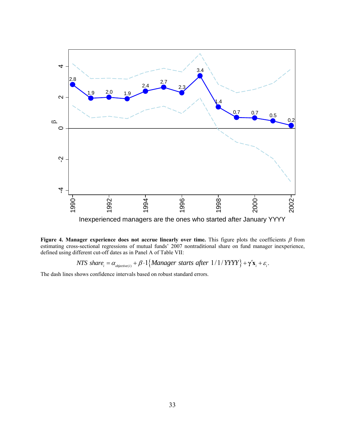

Figure 4. Manager experience does not accrue linearly over time. This figure plots the coefficients  $\beta$  from estimating cross-sectional regressions of mutual funds' 2007 nontraditional share on fund manager inexperience, defined using different cut-off dates as in Panel A of Table VII:

*NTS* share<sub>i</sub> =  $\alpha_{objective(i)} + \beta \cdot 1$  {*Manager starts after*  $1/1/$ *YYYY* } +  $\gamma'$ **x**<sub>i</sub> +  $\varepsilon$ <sub>i</sub>.

The dash lines shows confidence intervals based on robust standard errors.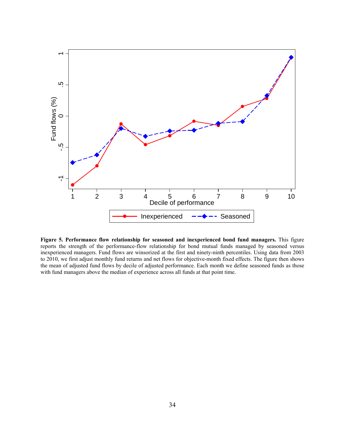

**Figure 5. Performance flow relationship for seasoned and inexperienced bond fund managers.** This figure reports the strength of the performance-flow relationship for bond mutual funds managed by seasoned versus inexperienced managers. Fund flows are winsorized at the first and ninety-ninth percentiles. Using data from 2003 to 2010, we first adjust monthly fund returns and net flows for objective-month fixed effects. The figure then shows the mean of adjusted fund flows by decile of adjusted performance. Each month we define seasoned funds as those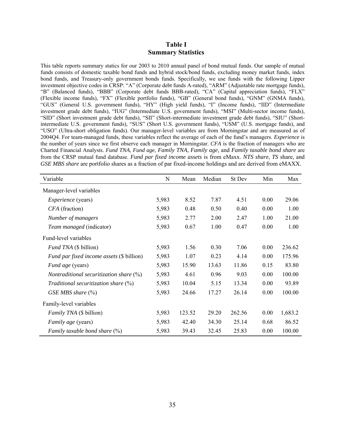# **Table I Summary Statistics**

This table reports summary statics for our 2003 to 2010 annual panel of bond mutual funds. Our sample of mutual funds consists of domestic taxable bond funds and hybrid stock/bond funds, excluding money market funds, index bond funds, and Treasury-only government bonds funds. Specifically, we use funds with the following Lipper investment objective codes in CRSP: "A" (Corporate debt funds A-rated), "ARM" (Adjustable rate mortgage funds), "B" (Balanced funds), "BBB" (Corporate debt funds BBB-rated), "CA" (Capital appreciation funds), "FLX" (Flexible income funds), "FX" (Flexible portfolio funds), "GB" (General bond funds), "GNM" (GNMA funds), "GUS" (General U.S. government funds), "HY" (High yield funds), "I" (Income funds), "IID" (Intermediate investment grade debt funds), "IUG" (Intermediate U.S. government funds), "MSI" (Multi-sector income funds), "SID" (Short investment grade debt funds), "SII" (Short-intermediate investment grade debt funds), "SIU" (Shortintermediate U.S. government funds), "SUS" (Short U.S. government funds), "USM" (U.S. mortgage funds), and "USO" (Ultra-short obligation funds). Our manager-level variables are from Morningstar and are measured as of 2004Q4. For team-managed funds, these variables reflect the average of each of the fund's managers. *Experience* is the number of years since we first observe each manager in Morningstar. *CFA* is the fraction of managers who are Charted Financial Analysts. *Fund TNA*, *Fund age*, *Family TNA*, *Family age,* and *Family taxable bond share* are from the CRSP mutual fund database. *Fund par fixed income assets* is from eMaxx. *NTS share*, *TS* share, and *GSE MBS share* are portfolio shares as a fraction of par fixed-income holdings and are derived from eMAXX.

| Variable                                         | N     | Mean   | Median | St Dev | Min  | Max     |
|--------------------------------------------------|-------|--------|--------|--------|------|---------|
| Manager-level variables                          |       |        |        |        |      |         |
| <i>Experience</i> (years)                        | 5,983 | 8.52   | 7.87   | 4.51   | 0.00 | 29.06   |
| CFA (fraction)                                   | 5,983 | 0.48   | 0.50   | 0.40   | 0.00 | 1.00    |
| Number of managers                               | 5,983 | 2.77   | 2.00   | 2.47   | 1.00 | 21.00   |
| Team managed (indicator)                         | 5,983 | 0.67   | 1.00   | 0.47   | 0.00 | 1.00    |
| Fund-level variables                             |       |        |        |        |      |         |
| <i>Fund TNA</i> (\$ billion)                     | 5,983 | 1.56   | 0.30   | 7.06   | 0.00 | 236.62  |
| <i>Fund par fixed income assets</i> (\$ billion) | 5,983 | 1.07   | 0.23   | 4.14   | 0.00 | 175.96  |
| <i>Fund age</i> (years)                          | 5,983 | 15.90  | 13.63  | 11.86  | 0.15 | 83.80   |
| Nontraditional securitization share $(\%)$       | 5,983 | 4.61   | 0.96   | 9.03   | 0.00 | 100.00  |
| Traditional securitization share $(\%)$          | 5,983 | 10.04  | 5.15   | 13.34  | 0.00 | 93.89   |
| GSE MBS share $(\%)$                             | 5,983 | 24.66  | 17.27  | 26.14  | 0.00 | 100.00  |
| Family-level variables                           |       |        |        |        |      |         |
| <i>Family TNA</i> (\$ billion)                   | 5,983 | 123.52 | 29.20  | 262.56 | 0.00 | 1,683.2 |
| <i>Family age</i> (years)                        | 5,983 | 42.40  | 34.30  | 25.14  | 0.68 | 86.52   |
| Family taxable bond share $(\%)$                 | 5,983 | 39.43  | 32.45  | 25.83  | 0.00 | 100.00  |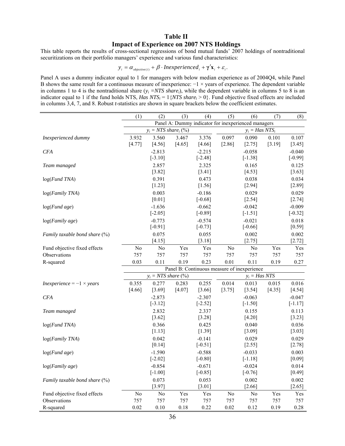# **Table II Impact of Experience on 2007 NTS Holdings**

This table reports the results of cross-sectional regressions of bond mutual funds' 2007 holdings of nontraditional securitizations on their portfolio managers' experience and various fund characteristics:

$$
y_i = \alpha_{objective(i)} + \beta \cdot In experienced_i + \gamma' \mathbf{x}_i + \varepsilon_i.
$$

Panel A uses a dummy indicator equal to 1 for managers with below median experience as of 2004Q4, while Panel B shows the same result for a continuous measure of inexperience:  $-1 \times$  years of experience. The dependent variable in columns 1 to 4 is the nontraditional share  $(y_i = NTS share_i)$ , while the dependent variable in columns 5 to 8 is an indicator equal to 1 if the fund holds NTS, *Has NTS<sub>i</sub>* = 1{*NTS share<sub>i</sub>* > 0}. Fund objective fixed effects are included in columns 3,4, 7, and 8. Robust *t*-statistics are shown in square brackets below the coefficient estimates.

|                                         | (1)                     | (2)                      | (3)      | (4)                  | (5)                                                 | (6)                                         | (7)    | (8)       |
|-----------------------------------------|-------------------------|--------------------------|----------|----------------------|-----------------------------------------------------|---------------------------------------------|--------|-----------|
|                                         |                         |                          |          |                      | Panel A: Dummy indicator for inexperienced managers |                                             |        |           |
|                                         | $y_i = NTS share_i$ (%) |                          |          |                      | $y_i = Has NTS_i$                                   |                                             |        |           |
| Inexperienced dummy                     | 3.932                   | 3.560                    | 3.467    | 3.376                | 0.097                                               | 0.090                                       | 0.101  | 0.107     |
|                                         | [4.77]                  | [4.56]                   | [4.65]   | [4.66]               | $[2.86]$                                            | [2.75]                                      | [3.19] | $[3.45]$  |
| <b>CFA</b>                              |                         | $-2.813$                 |          | $-2.215$             |                                                     | $-0.058$                                    |        | $-0.040$  |
|                                         |                         | $[-3.10]$                |          | $[-2.48]$            |                                                     | $[-1.38]$                                   |        | $[-0.99]$ |
| Team managed                            |                         | 2.857                    |          | 2.325                |                                                     | 0.165                                       |        | 0.125     |
|                                         |                         | [3.82]                   |          | $[3.41]$             |                                                     | [4.53]                                      |        | $[3.63]$  |
| log(Fund TNA)                           |                         | 0.391                    |          | 0.473                |                                                     | 0.038                                       |        | 0.034     |
|                                         |                         | $[1.23]$                 |          | $[1.56]$             |                                                     | $[2.94]$                                    |        | $[2.89]$  |
| log(Family TNA)                         |                         | 0.003                    |          | $-0.186$             |                                                     | 0.029                                       |        | 0.029     |
|                                         |                         | $[0.01]$                 |          | $[-0.68]$            |                                                     | $[2.54]$                                    |        | $[2.74]$  |
| $log(Fund\ age)$                        |                         | $-1.636$                 |          | $-0.662$             |                                                     | $-0.042$                                    |        | $-0.009$  |
|                                         |                         | $[-2.05]$                |          | $[-0.89]$            |                                                     | $[-1.51]$                                   |        | $[-0.32]$ |
| log(Family age)                         |                         | $-0.773$                 |          | $-0.574$             |                                                     | $-0.021$                                    |        | 0.018     |
|                                         |                         | $[-0.91]$                |          | $[-0.73]$            |                                                     | $[-0.66]$                                   |        | $[0.59]$  |
| Family taxable bond share $(\%)$        |                         | 0.075                    |          | 0.055                |                                                     | 0.002                                       |        | 0.002     |
|                                         |                         | $[4.15]$                 |          | $[3.18]$             |                                                     | $[2.75]$                                    |        | [2.72]    |
| Fund objective fixed effects            | No                      | N <sub>o</sub>           | Yes      | Yes                  | No                                                  | No                                          | Yes    | Yes       |
| Observations                            | 757                     | 757                      | 757      | 757                  | 757                                                 | 757                                         | 757    | 757       |
| R-squared                               | 0.03                    | 0.11                     | 0.19     | 0.23                 | 0.01                                                | 0.11                                        | 0.19   | 0.27      |
|                                         |                         |                          |          |                      |                                                     | Panel B: Continuous measure of inexperience |        |           |
|                                         |                         | $y_i = NTS$ share $(\%)$ |          |                      |                                                     | $y_i = Has NTS$                             |        |           |
| Inexperience = $-1 \times \text{years}$ | 0.355                   | 0.277                    | 0.283    | 0.255                | 0.014                                               | 0.013                                       | 0.015  | 0.016     |
|                                         | [4.66]                  | [3.69]                   | $[4.07]$ | [3.66]               | $[3.75]$                                            | $[3.54]$                                    | [4.35] | $[4.54]$  |
| <b>CFA</b>                              |                         | $-2.873$                 |          | $-2.307$             |                                                     | $-0.063$                                    |        | $-0.047$  |
|                                         |                         | $[-3.12]$                |          | $[-2.52]$            |                                                     | $[-1.50]$                                   |        | $[-1.17]$ |
| Team managed                            |                         | 2.832                    |          | 2.337                |                                                     | 0.155                                       |        | 0.113     |
|                                         |                         | $[3.62]$                 |          | [3.28]               |                                                     | $[4.20]$                                    |        | $[3.23]$  |
| log(Fund TNA)                           |                         | 0.366                    |          | 0.425                |                                                     | 0.040                                       |        | 0.036     |
|                                         |                         | [1.13]                   |          | [1.39]               |                                                     | [3.09]                                      |        | [3.03]    |
| log(Family TNA)                         |                         | 0.042                    |          | $-0.141$             |                                                     | 0.029                                       |        | 0.029     |
|                                         |                         | $[0.14]$                 |          | $[-0.51]$            |                                                     | $[2.55]$                                    |        | $[2.78]$  |
| $log(Fund\ age)$                        |                         | $-1.590$                 |          | $-0.588$             |                                                     | $-0.033$                                    |        | 0.003     |
|                                         |                         | $[-2.02]$                |          | $[-0.80]$            |                                                     | $[-1.18]$                                   |        | $[0.09]$  |
| log(Family age)                         |                         | $-0.854$                 |          | $-0.671$             |                                                     | $-0.024$                                    |        | 0.014     |
|                                         |                         | $[-1.00]$                |          | $[-0.85]$            |                                                     | $[-0.76]$                                   |        | $[0.49]$  |
| Family taxable bond share $(\%)$        |                         | 0.073                    |          | 0.053                |                                                     | 0.002                                       |        | 0.002     |
|                                         |                         | [3.97]                   |          | [3.01]               |                                                     | $[2.66]$                                    |        | $[2.65]$  |
| Fund objective fixed effects            | No                      | N <sub>0</sub>           | Yes      | $\operatorname{Yes}$ | N <sub>0</sub>                                      | N <sub>0</sub>                              | Yes    | Yes       |
| Observations                            | 757                     | 757                      | 757      | 757                  | 757                                                 | 757                                         | 757    | 757       |
| R-squared                               | $0.02\,$                | $0.10\,$                 | 0.18     | 0.22                 | $0.02\,$                                            | 0.12                                        | 0.19   | 0.28      |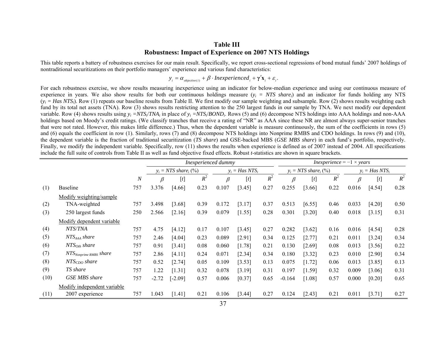# **Table III Robustness: Impact of Experience on 2007 NTS Holdings**

This table reports a battery of robustness exercises for our main result. Specifically, we report cross-sectional regressions of bond mutual funds' 2007 holdings of nontraditional securitizations on their portfolio managers' experience and various fund characteristics:

 $y_i = \alpha_{objective(i)} + \beta \cdot In experienced_i + \gamma' \mathbf{x}_i + \varepsilon_i$ .

For each robustness exercise, we show results measuring inexperience using an indicator for below-median experience and using our continuous measure of experience in years. We also show results for both our continuous holdings measure (*yi = NTS sharei*) and an indicator for funds holding any NTS  $(y_i = Has NTS_i)$ . Row (1) repeats our baseline results from Table II. We first modify our sample weighting and subsample. Row (2) shows results weighting each fund by its total net assets (TNA). Row (3) shows results restricting attention to the 250 largest funds in our sample by TNA. We next modify our dependent variable. Row (4) shows results using  $y_i = NTS_i/TNA_i$  in place of  $y_i = NTS_i/BOND_i$ . Rows (5) and (6) decompose NTS holdings into AAA holdings and non-AAA holdings based on Moody's credit ratings. (We classify tranches that receive a rating of "NR" as AAA since these NR are almost always super-senior tranches that were not rated. However, this makes little difference.) Thus, when the dependent variable is measure continuously, the sum of the coefficients in rows (5) and (6) equals the coefficient in row (1). Similarly, rows (7) and (8) decompose NTS holdings into Nonprime RMBS and CDO holdings. In rows (9) and (10), the dependent variable is the fraction of traditional securitization (*TS share*) and GSE-backed MBS (*GSE MBS share*) in each fund's portfolio, respectively. Finally, we modify the independent variable. Specifically, row (11) shows the results when experience is defined as of 2007 instead of 2004. All specifications include the full suite of controls from Table II as well as fund objective fixed effects. Robust *t*-statistics are shown in square brackets.

|      |                             |                  |         | Inexperienced dummy     |       |         |                   |       |          |                         | <i>Inexperience</i> = $-1 \times \text{years}$ |                   |          |       |
|------|-----------------------------|------------------|---------|-------------------------|-------|---------|-------------------|-------|----------|-------------------------|------------------------------------------------|-------------------|----------|-------|
|      |                             |                  |         | $y_i = NTS share_i$ (%) |       |         | $y_i = Has NTS_i$ |       |          | $y_i = NTS share_i$ (%) |                                                | $y_i = Has NTS_i$ |          |       |
|      |                             | $\boldsymbol{N}$ | $\beta$ | $[t]$                   | $R^2$ | $\beta$ | $[t]$             | $R^2$ | $\beta$  | $[t]$                   | $R^2$                                          | $\beta$           | $[t]$    | $R^2$ |
| (1)  | <b>Baseline</b>             | 757              | 3.376   | [4.66]                  | 0.23  | 0.107   | [3.45]            | 0.27  | 0.255    | [3.66]                  | 0.22                                           | 0.016             | [4.54]   | 0.28  |
|      | Modify weighting/sample     |                  |         |                         |       |         |                   |       |          |                         |                                                |                   |          |       |
| (2)  | TNA-weighted                | 757              | 3.498   | [3.68]                  | 0.39  | 0.172   | [3.17]            | 0.37  | 0.513    | [6.55]                  | 0.46                                           | 0.033             | $[4.20]$ | 0.50  |
| (3)  | 250 largest funds           | 250              | 2.566   | [2.16]                  | 0.39  | 0.079   | [1.55]            | 0.28  | 0.301    | [3.20]                  | 0.40                                           | 0.018             | [3.15]   | 0.31  |
|      | Modify dependent variable   |                  |         |                         |       |         |                   |       |          |                         |                                                |                   |          |       |
| (4)  | NTS/TNA                     | 757              | 4.75    | [4.12]                  | 0.17  | 0.107   | [3.45]            | 0.27  | 0.282    | [3.62]                  | 0.16                                           | 0.016             | [4.54]   | 0.28  |
| (5)  | NTS <sub>AAA</sub> share    | 757              | 2.46    | [4.04]                  | 0.23  | 0.089   | [2.91]            | 0.34  | 0.125    | [2.77]                  | 0.21                                           | 0.011             | [3.24]   | 0.34  |
| (6)  | $NTS_{Oth}$ share           | 757              | 0.91    | [3.41]                  | 0.08  | 0.060   | [1.78]            | 0.21  | 0.130    | [2.69]                  | 0.08                                           | 0.013             | [3.56]   | 0.22  |
| (7)  | $NTS_{Nonprime RMBS}$ share | 757              | 2.86    | [4.11]                  | 0.24  | 0.071   | [2.34]            | 0.34  | 0.180    | [3.32]                  | 0.23                                           | 0.010             | [2.90]   | 0.34  |
| (8)  | NTS <sub>CDO</sub> share    | 757              | 0.52    | [2.74]                  | 0.05  | 0.109   | [3.53]            | 0.13  | 0.075    | [1.72]                  | 0.06                                           | 0.013             | [3.85]   | 0.13  |
| (9)  | TS share                    | 757              | 1.22    | [1.31]                  | 0.32  | 0.078   | [3.19]            | 0.31  | 0.197    | [1.59]                  | 0.32                                           | 0.009             | [3.06]   | 0.31  |
| (10) | <b>GSE MBS</b> share        | 757              | $-2.72$ | $[-2.09]$               | 0.57  | 0.006   | [0.37]            | 0.65  | $-0.164$ | [1.08]                  | 0.57                                           | 0.000             | [0.20]   | 0.65  |
|      | Modify independent variable |                  |         |                         |       |         |                   |       |          |                         |                                                |                   |          |       |
| (11) | 2007 experience             | 757              | 1.043   | [1.41]                  | 0.21  | 0.106   | [3.44]            | 0.27  | 0.124    | [2.43]                  | 0.21                                           | 0.011             | [3.71]   | 0.27  |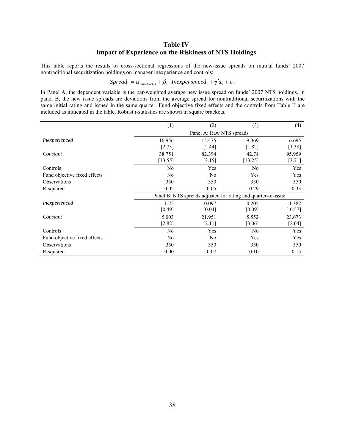# **Table IV Impact of Experience on the Riskiness of NTS Holdings**

This table reports the results of cross-sectional regressions of the new-issue spreads on mutual funds' 2007 nontraditional securitization holdings on manager inexperience and controls:

$$
Spread_i = \alpha_{objective(i)} + \beta_1 \cdot In experienced_i + \gamma' \mathbf{x}_i + \varepsilon_i.
$$

In Panel A, the dependent variable is the par-weighted average new issue spread on funds' 2007 NTS holdings. In panel B, the new issue spreads are deviations from the average spread for nontraditional securitizations with the same initial rating and issued in the same quarter. Fund objective fixed effects and the controls from Table II are included as indicated in the table. Robust *t*-statistics are shown in square brackets.

|                              | (1)                      | (2)            | (3)                                                           | (4)       |  |  |  |  |  |
|------------------------------|--------------------------|----------------|---------------------------------------------------------------|-----------|--|--|--|--|--|
|                              | Panel A: Raw NTS spreads |                |                                                               |           |  |  |  |  |  |
| <i>Inexperienced</i>         | 16.956                   | 15.475         | 9.369                                                         | 6.695     |  |  |  |  |  |
|                              | [2.73]                   | [2.44]         | $[1.82]$                                                      | $[1.38]$  |  |  |  |  |  |
| Constant                     | 38.751                   | 82.394         | 42.74                                                         | 95.959    |  |  |  |  |  |
|                              | [13.55]                  | [3.15]         | [13.25]                                                       | [3.71]    |  |  |  |  |  |
| Controls                     | N <sub>0</sub>           | Yes            | N <sub>0</sub>                                                | Yes       |  |  |  |  |  |
| Fund objective fixed effects | N <sub>0</sub>           | N <sub>0</sub> | Yes                                                           | Yes       |  |  |  |  |  |
| <b>Observations</b>          | 350                      | 350            | 350                                                           | 350       |  |  |  |  |  |
| R-squared                    | 0.02                     | 0.05           | 0.29                                                          | 0.33      |  |  |  |  |  |
|                              |                          |                | Panel B: NTS spreads adjusted for rating and quarter-of-issue |           |  |  |  |  |  |
| <i>Inexperienced</i>         | 1.25                     | 0.097          | 0.205                                                         | $-1.382$  |  |  |  |  |  |
|                              | [0.49]                   | [0.04]         | [0.09]                                                        | $[-0.57]$ |  |  |  |  |  |
| Constant                     | 5.003                    | 21.951         | 5.552                                                         | 23.673    |  |  |  |  |  |
|                              | [2.82]                   | [2.11]         | [3.06]                                                        | $[2.04]$  |  |  |  |  |  |
| Controls                     | No                       | Yes            | N <sub>0</sub>                                                | Yes       |  |  |  |  |  |
| Fund objective fixed effects | N <sub>0</sub>           | N <sub>0</sub> | Yes                                                           | Yes       |  |  |  |  |  |
| <b>Observations</b>          | 350                      | 350            | 350                                                           | 350       |  |  |  |  |  |
| R-squared                    | 0.00                     | 0.07           | 0.10                                                          | 0.15      |  |  |  |  |  |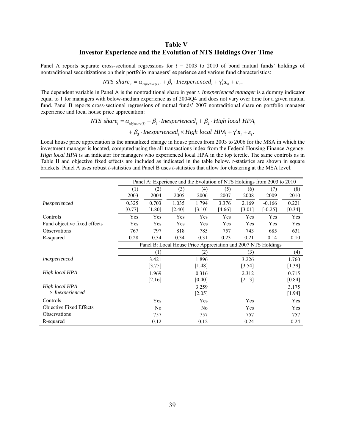## **Table V Investor Experience and the Evolution of NTS Holdings Over Time**

Panel A reports separate cross-sectional regressions for *t* = 2003 to 2010 of bond mutual funds' holdings of nontraditional securitizations on their portfolio managers' experience and various fund characteristics:

 $NTS \ share_{it} = \alpha_{objective(i), t} + \beta_t \cdot In experienced_i + \gamma_t' \mathbf{x}_{it} + \varepsilon_{it}.$ 

The dependent variable in Panel A is the nontraditional share in year *t*. *Inexperienced manager* is a dummy indicator equal to 1 for managers with below-median experience as of 2004Q4 and does not vary over time for a given mutual fund. Panel B reports cross-sectional regressions of mutual funds' 2007 nontraditional share on portfolio manager experience and local house price appreciation:

> *NTS* share<sub>i</sub> =  $\alpha_{\text{objective}(i)} + \beta_1 \cdot \text{Inexperienced}_i + \beta_2 \cdot \text{High local HPA}_i$ +  $\beta_3$  · Inexperienced<sub>i</sub> × High local HPA<sub>i</sub> +  $\gamma' \mathbf{x}_i + \varepsilon_i$ .

Local house price appreciation is the annualized change in house prices from 2003 to 2006 for the MSA in which the investment manager is located, computed using the all-transactions index from the Federal Housing Finance Agency. *High local HPA* is an indicator for managers who experienced local HPA in the top tercile. The same controls as in Table II and objective fixed effects are included as indicated in the table below. *t*-statistics are shown in square brackets. Panel A uses robust *t*-statistics and Panel B uses *t*-statistics that allow for clustering at the MSA level.

|                              | Panel A: Experience and the Evolution of NTS Holdings from 2003 to 2010 |                |          |                |          |        |                                                               |        |
|------------------------------|-------------------------------------------------------------------------|----------------|----------|----------------|----------|--------|---------------------------------------------------------------|--------|
|                              | (1)                                                                     | (2)            | (3)      | (4)            | (5)      | (6)    | (7)                                                           | (8)    |
|                              | 2003                                                                    | 2004           | 2005     | 2006           | 2007     | 2008   | 2009                                                          | 2010   |
| Inexperienced                | 0.325                                                                   | 0.703          | 1.035    | 1.794          | 3.376    | 2.169  | $-0.166$                                                      | 0.221  |
|                              | $[0.77]$                                                                | $[1.80]$       | $[2.40]$ | [3.10]         | $[4.66]$ | [3.01] | $[-0.25]$                                                     | [0.34] |
| Controls                     | Yes                                                                     | Yes            | Yes      | Yes            | Yes      | Yes    | Yes                                                           | Yes    |
| Fund objective fixed effects | Yes                                                                     | Yes            | Yes      | Yes            | Yes      | Yes    | Yes                                                           | Yes    |
| <b>Observations</b>          | 767                                                                     | 797            | 818      | 785            | 757      | 743    | 685                                                           | 631    |
| R-squared                    | 0.28                                                                    | 0.34           | 0.34     | 0.31           | 0.23     | 0.21   | 0.14                                                          | 0.10   |
|                              |                                                                         |                |          |                |          |        | Panel B: Local House Price Appreciation and 2007 NTS Holdings |        |
|                              |                                                                         | (1)            |          | (2)            |          | (3)    |                                                               | (4)    |
| <i>Inexperienced</i>         |                                                                         | 3.421          |          | 1.896          |          | 3.226  |                                                               | 1.760  |
|                              |                                                                         | [3.75]         |          | [1.48]         |          | [3.54] |                                                               | [1.39] |
| High local HPA               |                                                                         | 1.969          |          | 0.316          |          | 2.312  |                                                               | 0.715  |
|                              |                                                                         | [2.16]         |          | [0.40]         |          | [2.13] |                                                               | [0.84] |
| High local HPA               |                                                                         |                |          | 3.259          |          |        |                                                               | 3.175  |
| $\times$ Inexperienced       |                                                                         |                |          | [2.05]         |          |        |                                                               | [1.94] |
| Controls                     |                                                                         | Yes            |          | Yes            |          | Yes    |                                                               | Yes    |
| Objective Fixed Effects      |                                                                         | N <sub>0</sub> |          | N <sub>0</sub> |          | Yes    |                                                               | Yes    |
| Observations                 |                                                                         | 757            |          | 757            |          | 757    |                                                               | 757    |
| R-squared                    |                                                                         | 0.12           |          | 0.12           |          | 0.24   |                                                               | 0.24   |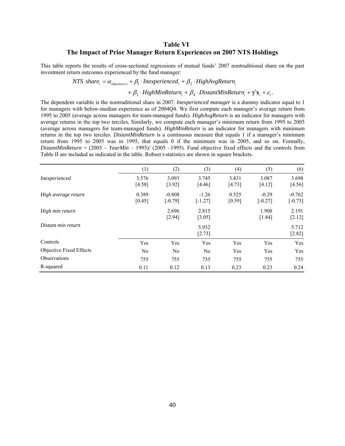# **Table VI The Impact of Prior Manager Return Experiences on 2007 NTS Holdings**

This table reports the results of cross-sectional regressions of mutual funds' 2007 nontraditional share on the past investment return outcomes experienced by the fund manager:

$$
NTS share_i = \alpha_{objective(i)} + \beta_1 \cdot In experienced_i + \beta_2 \cdot HighAvgReturn_i
$$

 $+\beta_3 \cdot High MinReturn_i + \beta_4 \cdot DistantMinReturn_i + \gamma' \mathbf{x}_i + \varepsilon_i$ .

The dependent variable is the nontraditional share in 2007. *Inexperienced manager* is a dummy indicator equal to 1 for managers with below-median experience as of 2004Q4. We first compute each manager's average return from 1995 to 2005 (average across managers for team-managed funds). *HighAvgReturn* is an indicator for managers with average returns in the top two terciles. Similarly, we compute each manager's minimum return from 1995 to 2005 (average across managers for team-managed funds). *HighMinReturn* is an indicator for managers with minimum returns in the top two terciles. *DistantMinReturn* is a continuous measure that equals 1 if a manager's minimum return from 1995 to 2005 was in 1995, that equals 0 if the minimum was in 2005, and so on. Formally, *DistantMinReturn* = (2005 – *YearMin* – 1995)/ (2005 –1995). Fund objective fixed effects and the controls from Table II are included as indicated in the table. Robust *t*-statistics are shown in square brackets.

|                         | (1)             | (2)                   | (3)                  | (4)             | (5)                  | (6)                   |
|-------------------------|-----------------|-----------------------|----------------------|-----------------|----------------------|-----------------------|
| Inexperienced           | 3.576<br>[4.58] | 3.093<br>[3.92]       | 3.745<br>[4.46]      | 3.431<br>[4.73] | 3.087<br>[4.12]      | 3.698<br>[4.56]       |
| High average return     | 0.389<br>[0.45] | $-0.808$<br>$[-0.79]$ | $-1.26$<br>$[-1.27]$ | 0.525<br>[0.59] | $-0.29$<br>$[-0.27]$ | $-0.762$<br>$[-0.73]$ |
| High min return         |                 | 2.696<br>[2.94]       | 2.815<br>[3.05]      |                 | 1.908<br>[1.84]      | 2.191<br>$[2.12]$     |
| Distant min return      |                 |                       | 5.932<br>$[2.73]$    |                 |                      | 5.712<br>$[2.82]$     |
| Controls                | Yes             | Yes                   | Yes                  | Yes             | Yes                  | Yes                   |
| Objective Fixed Effects | N <sub>0</sub>  | N <sub>0</sub>        | No.                  | Yes             | Yes                  | Yes                   |
| <b>Observations</b>     | 755             | 755                   | 755                  | 755             | 755                  | 755                   |
| R-squared               | 0.11            | 0.12                  | 0.13                 | 0.23            | 0.23                 | 0.24                  |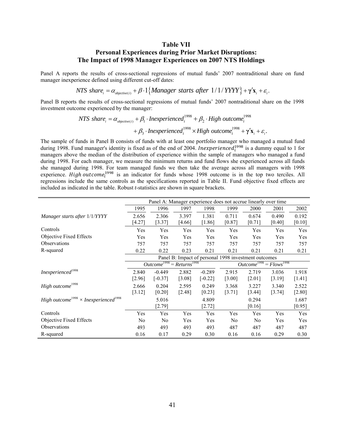## **Table VII Personal Experiences during Prior Market Disruptions: The Impact of 1998 Manager Experiences on 2007 NTS Holdings**

Panel A reports the results of cross-sectional regressions of mutual funds' 2007 nontraditional share on fund manager inexperience defined using different cut-off dates:

*NTS* share<sub>i</sub> =  $\alpha_{objective(i)} + \beta \cdot 1$  {*Manager starts after*  $1/1/$ *YYYY* } +  $\gamma'$ **x**<sub>i</sub> +  $\varepsilon$ <sub>i</sub>.

Panel B reports the results of cross-sectional regressions of mutual funds' 2007 nontraditional share on the 1998 investment outcome experienced by the manager:

$$
NTS share_i = \alpha_{objective(i)} + \beta_1 \cdot In experienced_i^{1998} + \beta_2 \cdot High outcome_i^{1998} + \beta_3 \cdot In experienced_i^{1998} \times High outcome_i^{1998} + \gamma' \mathbf{x}_i + \varepsilon_i.
$$

The sample of funds in Panel B consists of funds with at least one portfolio manager who managed a mutual fund during 1998. Fund manager's identity is fixed as of the end of 2004. Inexperienced $l_i^{1998}$  is a dummy equal to 1 for managers above the median of the distribution of experience within the sample of managers who managed a fund during 1998. For each manager, we measure the minimum returns and fund flows she experienced across all funds she managed during 1998. For team managed funds we then take the average across all managers with 1998 experience. High outcome<sup>1998</sup> is an indicator for funds whose 1998 outcome is in the top two terciles. All regressions include the same controls as the specifications reported in Table II. Fund objective fixed effects are included as indicated in the table. Robust *t*-statistics are shown in square brackets.

|                                                                     | Panel A: Manager experience does not accrue linearly over time |                             |          |                                                      |                           |                |        |          |
|---------------------------------------------------------------------|----------------------------------------------------------------|-----------------------------|----------|------------------------------------------------------|---------------------------|----------------|--------|----------|
|                                                                     | 1995                                                           | 1996                        | 1997     | 1998                                                 | 1999                      | 2000           | 2001   | 2002     |
| Manager starts after 1/1/YYYY                                       | 2.656                                                          | 2.306                       | 3.397    | 1.381                                                | 0.711                     | 0.674          | 0.490  | 0.192    |
|                                                                     | [4.27]                                                         | $[3.37]$                    | [4.66]   | $[1.86]$                                             | [0.87]                    | $[0.71]$       | [0.40] | [0.10]   |
| Controls                                                            | Yes                                                            | Yes                         | Yes      | Yes                                                  | Yes                       | Yes            | Yes    | Yes      |
| Objective Fixed Effects                                             | Yes                                                            | Yes                         | Yes      | Yes                                                  | Yes                       | Yes            | Yes    | Yes      |
| <b>Observations</b>                                                 | 757                                                            | 757                         | 757      | 757                                                  | 757                       | 757            | 757    | 757      |
| R-squared                                                           | 0.22                                                           | 0.22                        | 0.23     | 0.21                                                 | 0.21                      | 0.21           | 0.21   | 0.21     |
|                                                                     |                                                                |                             |          | Panel B: Impact of personal 1998 investment outcomes |                           |                |        |          |
|                                                                     |                                                                | $Outcome1998 = Returns1998$ |          |                                                      | $Outcome1998 = Flows1998$ |                |        |          |
| $In experienced$ <sup>1998</sup>                                    | 2.840                                                          | $-0.449$                    | 2.882    | $-0.289$                                             | 2.915                     | 2.719          | 3.036  | 1.918    |
|                                                                     | [2.96]                                                         | $[-0.37]$                   | [3.08]   | $[-0.22]$                                            | $[3.00]$                  | $[2.01]$       | [3.19] | [1.41]   |
| High outcome <sup>1998</sup>                                        | 2.666                                                          | 0.204                       | 2.595    | 0.249                                                | 3.368                     | 3.227          | 3.340  | 2.522    |
|                                                                     | [3.12]                                                         | [0.20]                      | $[2.48]$ | [0.23]                                               | [3.71]                    | [3.44]         | [3.74] | $[2.80]$ |
| High outcome <sup>1998</sup> $\times$ Inexperienced <sup>1998</sup> |                                                                | 5.016                       |          | 4.809                                                |                           | 0.294          |        | 1.687    |
|                                                                     |                                                                | [2.79]                      |          | $[2.72]$                                             |                           | [0.16]         |        | [0.95]   |
| Controls                                                            | Yes                                                            | Yes                         | Yes      | Yes                                                  | Yes                       | Yes            | Yes    | Yes      |
| Objective Fixed Effects                                             | No                                                             | N <sub>0</sub>              | Yes      | Yes                                                  | N <sub>0</sub>            | N <sub>0</sub> | Yes    | Yes      |
| <b>Observations</b>                                                 | 493                                                            | 493                         | 493      | 493                                                  | 487                       | 487            | 487    | 487      |
| R-squared                                                           | 0.16                                                           | 0.17                        | 0.29     | 0.30                                                 | 0.16                      | 0.16           | 0.29   | 0.30     |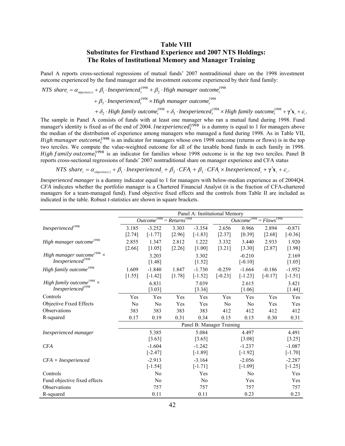# **Table VIII Substitutes for Firsthand Experience and 2007 NTS Holdings: The Roles of Institutional Memory and Manager Training**

Panel A reports cross-sectional regressions of mutual funds' 2007 nontraditional share on the 1998 investment outcome experienced by the fund manager and the investment outcome experienced by their fund family:

$$
NTS share_i = \alpha_{objective(i)} + \beta_1 \cdot In experienced_i^{1998} + \beta_2 \cdot High manager outcome_i^{1998}
$$
  
+  $\beta_3 \cdot In experienced_i^{1998} \times High manager outcome_i^{1998}$   
+  $\delta_2 \cdot High family outcome_i^{1998} + \delta_3 \cdot In experienced_i^{1998} \times High family outcome_i^{1998} + \gamma' \mathbf{x}_i + \varepsilon_i$ .

The sample in Panel A consists of funds with at least one manager who ran a mutual fund during 1998. Fund manager's identity is fixed as of the end of 2004. *Inexperienced*<sup>1998</sup> is a dummy is equal to 1 for managers above the median of the distribution of experience among managers who managed a fund during 1998. As in Table VII, High manager outcome<sup>1998</sup> is an indicator for managers whose own 1998 outcome (returns or flows) is in the top two terciles. We compute the value-weighted outcome for all of the taxable bond funds in each family in 1998. High family outcome<sup>1998</sup> is an indicator for families whose 1998 outcome is in the top two terciles. Panel B reports cross-sectional regressions of funds' 2007 nontraditional share on manager experience and CFA status

 $NTS \ share_i = \alpha_{objective(i)} + \beta_1 \cdot In experienced_i + \beta_2 \cdot CFA_i + \beta_3 \cdot CFA_i \times In experienced_i + \gamma' \mathbf{x}_i + \varepsilon_i$ .

*Inexperienced manager* is a dummy indicator equal to 1 for managers with below-median experience as of 2004Q4. *CFA* indicates whether the portfolio manager is a Chartered Financial Analyst (it is the fraction of CFA-chartered managers for a team-managed fund). Fund objective fixed effects and the controls from Table II are included as indicated in the table. Robust *t*-statistics are shown in square brackets.

|                                               | Panel A: Institutional Memory              |                |          |                           |                |                         |               |           |
|-----------------------------------------------|--------------------------------------------|----------------|----------|---------------------------|----------------|-------------------------|---------------|-----------|
|                                               | Outcome <sup>1998</sup><br>$= Returns1998$ |                |          |                           |                | Outcome <sup>1998</sup> | $= Flows1998$ |           |
| Inexperienced <sup>1998</sup>                 | 3.185                                      | $-3.252$       | 3.303    | $-3.354$                  | 2.656          | 0.966                   | 2.894         | $-0.871$  |
|                                               | [2.74]                                     | $[-1.77]$      | [2.96]   | $[-1.83]$                 | [2.37]         | [0.39]                  | $[2.68]$      | $[-0.36]$ |
| High manager outcome <sup>1998</sup>          | 2.855                                      | 1.347          | 2.812    | 1.222                     | 3.332          | 3.440                   | 2.933         | 1.920     |
|                                               | $[2.66]$                                   | [1.05]         | $[2.26]$ | $[1.00]$                  | $[3.21]$       | [3.30]                  | [2.87]        | $[1.98]$  |
| High manager outcome <sup>1998</sup> $\times$ |                                            | 3.203          |          | 3.302                     |                | $-0.210$                |               | 2.169     |
| $\label{cor:uncon} In experienced^{1998}$     |                                            | [1.48]         |          | [1.52]                    |                | $[-0.10]$               |               | $[1.05]$  |
| High family outcome <sup>1998</sup>           | 1.609                                      | $-1.840$       | 1.847    | $-1.730$                  | $-0.259$       | $-1.664$                | $-0.186$      | $-1.952$  |
|                                               | [1.55]                                     | $[-1.42]$      | [1.78]   | $[-1.52]$                 | $[-0.23]$      | $[-1.23]$               | $[-0.17]$     | $[-1.51]$ |
| High family outcome <sup>1998</sup> $\times$  |                                            | 6.831          |          | 7.039                     |                | 2.615                   |               | 3.421     |
| Inexperienced <sup>1998</sup>                 |                                            | [3.03]         |          | [3.34]                    |                | $[1.06]$                |               | $[1.44]$  |
| Controls                                      | Yes                                        | Yes            | Yes      | Yes                       | Yes            | Yes                     | Yes           | Yes       |
| Objective Fixed Effects                       | No                                         | No             | Yes      | Yes                       | N <sub>0</sub> | No                      | Yes           | Yes       |
| Observations                                  | 383                                        | 383            | 383      | 383                       | 412            | 412                     | 412           | 412       |
| R-squared                                     | 0.17                                       | 0.19           | 0.31     | 0.34                      | 0.15           | 0.15                    | 0.30          | 0.31      |
|                                               |                                            |                |          | Panel B: Manager Training |                |                         |               |           |
| Inexperienced manager                         |                                            | 5.385          |          | 5.084                     |                | 4.497                   |               | 4.491     |
|                                               |                                            | [3.63]         |          | [3.65]                    |                | [3.08]                  |               | $[3.25]$  |
| <b>CFA</b>                                    |                                            | $-1.604$       |          | $-1.242$                  |                | $-1.237$                |               | $-1.087$  |
|                                               |                                            | $[-2.47]$      |          | $[-1.89]$                 |                | $[-1.92]$               |               | $[-1.70]$ |
| $CFA \times In experienced$                   |                                            | $-2.913$       |          | $-3.164$                  |                | $-2.056$                |               | $-2.287$  |
|                                               |                                            | $[-1.54]$      |          | $[-1.71]$                 |                | $[-1.09]$               |               | $[-1.25]$ |
| Controls                                      |                                            | No             |          | Yes                       |                | N <sub>0</sub>          |               | Yes       |
| Fund objective fixed effects                  |                                            | N <sub>0</sub> |          | N <sub>0</sub>            |                | Yes                     |               | Yes       |
| Observations                                  |                                            | 757            |          | 757                       |                | 757                     |               | 757       |
| R-squared                                     |                                            | 0.11           |          | 0.11                      |                | 0.23                    |               | 0.23      |

 $\blacksquare$